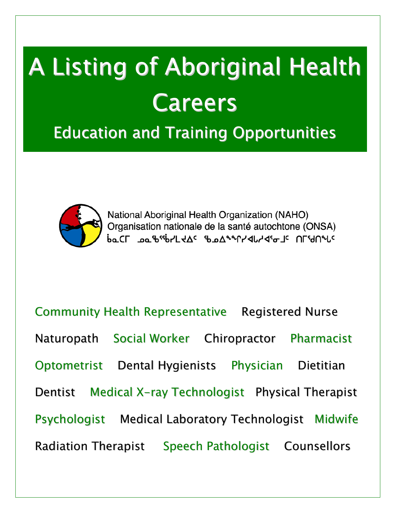# A Listing of Aboriginal Health Careers

Education and Training Opportunities



National Aboriginal Health Organization (NAHO) Organisation nationale de la santé autochtone (ONSA) **p**σCL <sup>τοσ</sup>ιρ<sub>ει</sub>ρος ερτογραγιαγαιας υLι9υρης

Community Health Representative Registered Nurse Naturopath Social Worker Chiropractor Pharmacist Optometrist Dental Hygienists Physician Dietitian Dentist Medical X-ray Technologist Physical Therapist Psychologist Medical Laboratory Technologist Midwife Radiation Therapist Speech Pathologist Counsellors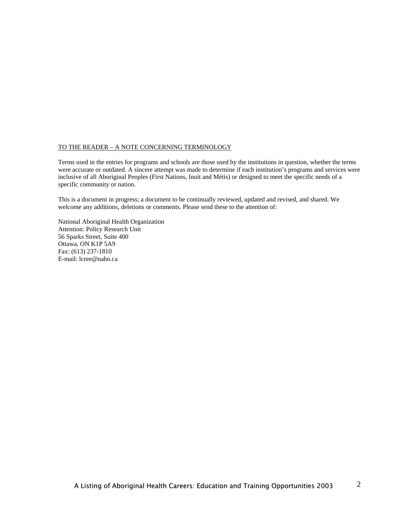#### TO THE READER – A NOTE CONCERNING TERMINOLOGY

Terms used in the entries for programs and schools are those used by the institutions in question, whether the terms were accurate or outdated. A sincere attempt was made to determine if each institution's programs and services were inclusive of all Aboriginal Peoples (First Nations, Inuit and Métis) or designed to meet the specific needs of a specific community or nation.

This is a document in progress; a document to be continually reviewed, updated and revised, and shared. We welcome any additions, deletions or comments. Please send these to the attention of:

National Aboriginal Health Organization Attention: Policy Research Unit 56 Sparks Street, Suite 400 Ottawa, ON K1P 5A9 Fax: (613) 237-1810 E-mail: lcree@naho.ca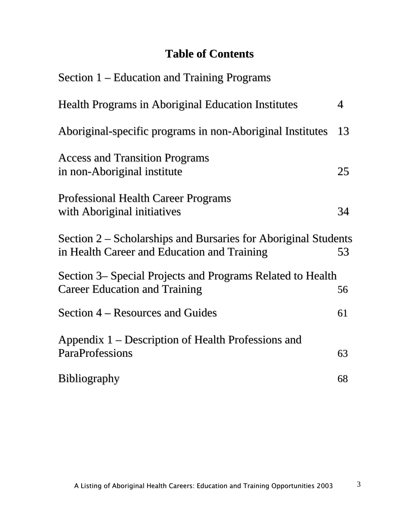## **Table of Contents**

| Section 1 – Education and Training Programs                                                                   |    |
|---------------------------------------------------------------------------------------------------------------|----|
| <b>Health Programs in Aboriginal Education Institutes</b>                                                     | 4  |
| Aboriginal-specific programs in non-Aboriginal Institutes                                                     | 13 |
| <b>Access and Transition Programs</b><br>in non-Aboriginal institute                                          | 25 |
| <b>Professional Health Career Programs</b><br>with Aboriginal initiatives                                     | 34 |
| Section 2 – Scholarships and Bursaries for Aboriginal Students<br>in Health Career and Education and Training | 53 |
| Section 3– Special Projects and Programs Related to Health<br><b>Career Education and Training</b>            | 56 |
| Section 4 – Resources and Guides                                                                              | 61 |
| Appendix 1 – Description of Health Professions and<br><b>ParaProfessions</b>                                  | 63 |
| <b>Bibliography</b>                                                                                           | 68 |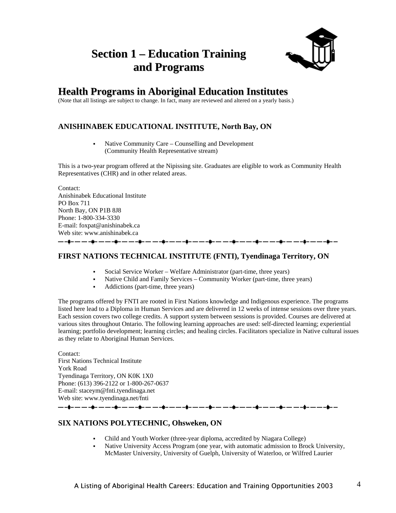## **Section 1 – Education Training and Programs**



## **Health Programs in Aboriginal Education Institutes**

(Note that all listings are subject to change. In fact, many are reviewed and altered on a yearly basis.)

#### **ANISHINABEK EDUCATIONAL INSTITUTE, North Bay, ON**

 Native Community Care – Counselling and Development (Community Health Representative stream)

This is a two-year program offered at the Nipissing site. Graduates are eligible to work as Community Health Representatives (CHR) and in other related areas.

Contact: Anishinabek Educational Institute PO Box 711 North Bay, ON P1B 8J8 Phone: 1-800-334-3330 E-mail: foxpat@anishinabek.ca Web site: www.anishinabek.ca ------------------

#### **FIRST NATIONS TECHNICAL INSTITUTE (FNTI), Tyendinaga Territory, ON**

- Social Service Worker Welfare Administrator (part-time, three years)
- Native Child and Family Services Community Worker (part-time, three years)
- Addictions (part-time, three years)

The programs offered by FNTI are rooted in First Nations knowledge and Indigenous experience. The programs listed here lead to a Diploma in Human Services and are delivered in 12 weeks of intense sessions over three years. Each session covers two college credits. A support system between sessions is provided. Courses are delivered at various sites throughout Ontario. The following learning approaches are used: self-directed learning; experiential learning; portfolio development; learning circles; and healing circles. Facilitators specialize in Native cultural issues as they relate to Aboriginal Human Services.

Contact: First Nations Technical Institute York Road Tyendinaga Territory, ON K0K 1X0 Phone: (613) 396-2122 or 1-800-267-0637 E-mail: staceym@fnti.tyendinaga.net Web site: www.tyendinaga.net/fnti 

#### **SIX NATIONS POLYTECHNIC, Ohsweken, ON**

- Child and Youth Worker (three-year diploma, accredited by Niagara College)
- Native University Access Program (one year, with automatic admission to Brock University, McMaster University, University of Guelph, University of Waterloo, or Wilfred Laurier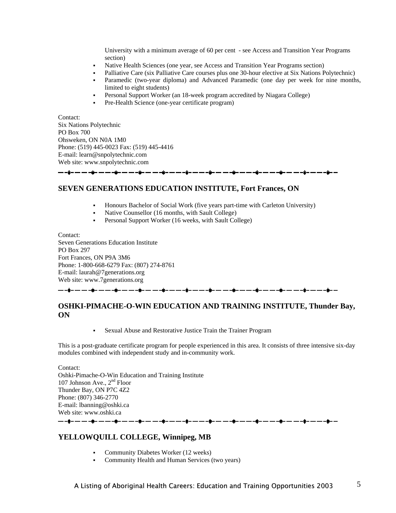University with a minimum average of 60 per cent - see Access and Transition Year Programs section)

- Native Health Sciences (one year, see Access and Transition Year Programs section)
	- Palliative Care (six Palliative Care courses plus one 30-hour elective at Six Nations Polytechnic)
- Paramedic (two-year diploma) and Advanced Paramedic (one day per week for nine months, limited to eight students)
- Personal Support Worker (an 18-week program accredited by Niagara College)
- Pre-Health Science (one-year certificate program)

Contact:

Six Nations Polytechnic PO Box 700 Ohsweken, ON N0A 1M0 Phone: (519) 445-0023 Fax: (519) 445-4416 E-mail: learn@snpolytechnic.com Web site: www.snpolytechnic.com

#### **SEVEN GENERATIONS EDUCATION INSTITUTE, Fort Frances, ON**

- Honours Bachelor of Social Work (five years part-time with Carleton University)
- Native Counsellor (16 months, with Sault College)
- Personal Support Worker (16 weeks, with Sault College)

Contact: Seven Generations Education Institute PO Box 297 Fort Frances, ON P9A 3M6 Phone: 1-800-668-6279 Fax: (807) 274-8761 E-mail: laurah@7generations.org Web site: www.7generations.org

#### **OSHKI-PIMACHE-O-WIN EDUCATION AND TRAINING INSTITUTE, Thunder Bay, ON**

Sexual Abuse and Restorative Justice Train the Trainer Program

This is a post-graduate certificate program for people experienced in this area. It consists of three intensive six-day modules combined with independent study and in-community work.

Contact: Oshki-Pimache-O-Win Education and Training Institute 107 Johnson Ave.,  $2<sup>nd</sup>$  Floor Thunder Bay, ON P7C 4Z2 Phone: (807) 346-2770 E-mail: lbanning@oshki.ca Web site: www.oshki.ca

#### **YELLOWQUILL COLLEGE, Winnipeg, MB**

- Community Diabetes Worker (12 weeks)
- Community Health and Human Services (two years)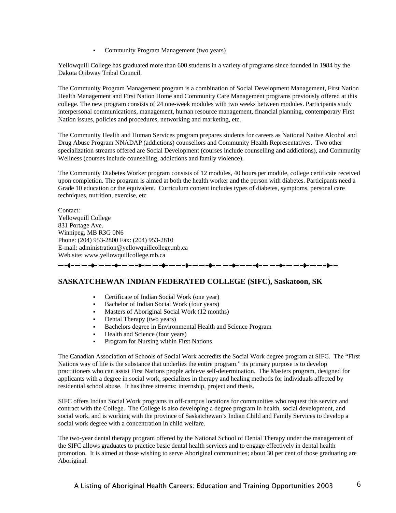Community Program Management (two years)

Yellowquill College has graduated more than 600 students in a variety of programs since founded in 1984 by the Dakota Ojibway Tribal Council.

The Community Program Management program is a combination of Social Development Management, First Nation Health Management and First Nation Home and Community Care Management programs previously offered at this college. The new program consists of 24 one-week modules with two weeks between modules. Participants study interpersonal communications, management, human resource management, financial planning, contemporary First Nation issues, policies and procedures, networking and marketing, etc.

The Community Health and Human Services program prepares students for careers as National Native Alcohol and Drug Abuse Program NNADAP (addictions) counsellors and Community Health Representatives. Two other specialization streams offered are Social Development (courses include counselling and addictions), and Community Wellness (courses include counselling, addictions and family violence).

The Community Diabetes Worker program consists of 12 modules, 40 hours per module, college certificate received upon completion. The program is aimed at both the health worker and the person with diabetes. Participants need a Grade 10 education or the equivalent. Curriculum content includes types of diabetes, symptoms, personal care techniques, nutrition, exercise, etc

Contact: Yellowquill College 831 Portage Ave. Winnipeg, MB R3G 0N6 Phone: (204) 953-2800 Fax: (204) 953-2810 E-mail: administration@yellowquillcollege.mb.ca Web site: www.yellowquillcollege.mb.ca

#### **SASKATCHEWAN INDIAN FEDERATED COLLEGE (SIFC), Saskatoon, SK**

- Certificate of Indian Social Work (one year)
- Bachelor of Indian Social Work (four years)
- Masters of Aboriginal Social Work (12 months)
- Dental Therapy (two years)

— — -\$- — — -\$- — — -\$- — — -\$- — 1

- Bachelors degree in Environmental Health and Science Program
- Health and Science (four years)
- Program for Nursing within First Nations

The Canadian Association of Schools of Social Work accredits the Social Work degree program at SIFC. The "First Nations way of life is the substance that underlies the entire program." its primary purpose is to develop practitioners who can assist First Nations people achieve self-determination. The Masters program, designed for applicants with a degree in social work, specializes in therapy and healing methods for individuals affected by residential school abuse. It has three streams: internship, project and thesis.

SIFC offers Indian Social Work programs in off-campus locations for communities who request this service and contract with the College. The College is also developing a degree program in health, social development, and social work, and is working with the province of Saskatchewan's Indian Child and Family Services to develop a social work degree with a concentration in child welfare.

The two-year dental therapy program offered by the National School of Dental Therapy under the management of the SIFC allows graduates to practice basic dental health services and to engage effectively in dental health promotion. It is aimed at those wishing to serve Aboriginal communities; about 30 per cent of those graduating are Aboriginal.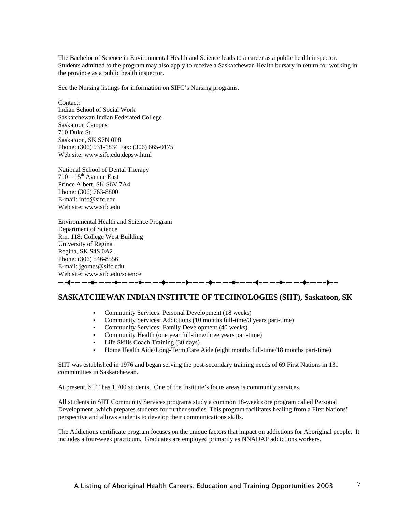The Bachelor of Science in Environmental Health and Science leads to a career as a public health inspector. Students admitted to the program may also apply to receive a Saskatchewan Health bursary in return for working in the province as a public health inspector.

See the Nursing listings for information on SIFC's Nursing programs.

Contact: Indian School of Social Work Saskatchewan Indian Federated College Saskatoon Campus 710 Duke St. Saskatoon, SK S7N 0P8 Phone: (306) 931-1834 Fax: (306) 665-0175 Web site: www.sifc.edu.depsw.html

National School of Dental Therapy  $710 - 15$ <sup>th</sup> Avenue East Prince Albert, SK S6V 7A4 Phone: (306) 763-8800 E-mail: info@sifc.edu Web site: www.sifc.edu

Environmental Health and Science Program Department of Science Rm. 118, College West Building University of Regina Regina, SK S4S 0A2 Phone: (306) 546-8556 E-mail: jgomes@sifc.edu Web site: www.sifc.edu/science

#### 

#### **SASKATCHEWAN INDIAN INSTITUTE OF TECHNOLOGIES (SIIT), Saskatoon, SK**

- Community Services: Personal Development (18 weeks)
- Community Services: Addictions (10 months full-time/3 years part-time)
- Community Services: Family Development (40 weeks)
- Community Health (one year full-time/three years part-time)
- Life Skills Coach Training (30 days)
- Home Health Aide/Long-Term Care Aide (eight months full-time/18 months part-time)

SIIT was established in 1976 and began serving the post-secondary training needs of 69 First Nations in 131 communities in Saskatchewan.

At present, SIIT has 1,700 students. One of the Institute's focus areas is community services.

All students in SIIT Community Services programs study a common 18-week core program called Personal Development, which prepares students for further studies. This program facilitates healing from a First Nations' perspective and allows students to develop their communications skills.

The Addictions certificate program focuses on the unique factors that impact on addictions for Aboriginal people. It includes a four-week practicum. Graduates are employed primarily as NNADAP addictions workers.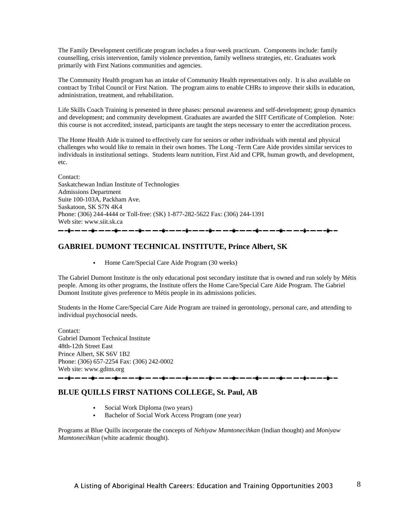The Family Development certificate program includes a four-week practicum. Components include: family counselling, crisis intervention, family violence prevention, family wellness strategies, etc. Graduates work primarily with First Nations communities and agencies.

The Community Health program has an intake of Community Health representatives only. It is also available on contract by Tribal Council or First Nation. The program aims to enable CHRs to improve their skills in education, administration, treatment, and rehabilitation.

Life Skills Coach Training is presented in three phases: personal awareness and self-development; group dynamics and development; and community development. Graduates are awarded the SIIT Certificate of Completion. Note: this course is not accredited; instead, participants are taught the steps necessary to enter the accreditation process.

The Home Health Aide is trained to effectively care for seniors or other individuals with mental and physical challenges who would like to remain in their own homes. The Long -Term Care Aide provides similar services to individuals in institutional settings. Students learn nutrition, First Aid and CPR, human growth, and development, etc.

Contact: Saskatchewan Indian Institute of Technologies Admissions Department Suite 100-103A, Packham Ave. Saskatoon, SK S7N 4K4 Phone: (306) 244-4444 or Toll-free: (SK) 1-877-282-5622 Fax: (306) 244-1391 Web site: www.siit.sk.ca ——\$-———\$-———\$-———\$-———\$-——+\$-——\$-——+\$-——+\$-——+\$-——+

#### **GABRIEL DUMONT TECHNICAL INSTITUTE, Prince Albert, SK**

Home Care/Special Care Aide Program (30 weeks)

The Gabriel Dumont Institute is the only educational post secondary institute that is owned and run solely by Métis people. Among its other programs, the Institute offers the Home Care/Special Care Aide Program. The Gabriel Dumont Institute gives preference to Métis people in its admissions policies.

Students in the Home Care/Special Care Aide Program are trained in gerontology, personal care, and attending to individual psychosocial needs.

Contact: Gabriel Dumont Technical Institute 48th-12th Street East Prince Albert, SK S6V 1B2 Phone: (306) 657-2254 Fax: (306) 242-0002 Web site: www.gdins.org <u>┈╌⋣╴┈╶┈╌⋣╴┈╶┈╌⋣╴┈╶┈╌⋣╴┈╶┈╌⋣╴┈╶┈╌⋣╴┈╶┈╶⋣╴┈╶┈╌⋣╴┈╶┈╌⋣</u>

#### **BLUE QUILLS FIRST NATIONS COLLEGE, St. Paul, AB**

- Social Work Diploma (two years)
- Bachelor of Social Work Access Program (one year)

Programs at Blue Quills incorporate the concepts of *Nehiyaw Mamtonecihkan* (Indian thought) and *Moniyaw Mamtonecihkan* (white academic thought).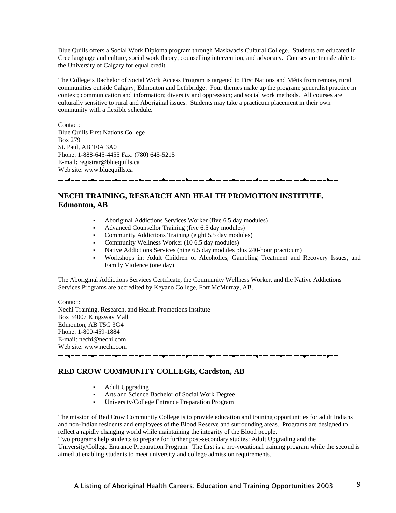Blue Quills offers a Social Work Diploma program through Maskwacis Cultural College. Students are educated in Cree language and culture, social work theory, counselling intervention, and advocacy. Courses are transferable to the University of Calgary for equal credit.

The College's Bachelor of Social Work Access Program is targeted to First Nations and Métis from remote, rural communities outside Calgary, Edmonton and Lethbridge. Four themes make up the program: generalist practice in context; communication and information; diversity and oppression; and social work methods. All courses are culturally sensitive to rural and Aboriginal issues. Students may take a practicum placement in their own community with a flexible schedule.

Contact: Blue Quills First Nations College Box 279 St. Paul, AB T0A 3A0 Phone: 1-888-645-4455 Fax: (780) 645-5215 E-mail: registrar@bluequills.ca Web site: www.bluequills.ca

#### 

#### **NECHI TRAINING, RESEARCH AND HEALTH PROMOTION INSTITUTE, Edmonton, AB**

- Aboriginal Addictions Services Worker (five 6.5 day modules)
- Advanced Counsellor Training (five 6.5 day modules)
- Community Addictions Training (eight 5.5 day modules)
- Community Wellness Worker (10 6.5 day modules)
- Native Addictions Services (nine 6.5 day modules plus 240-hour practicum)
- Workshops in: Adult Children of Alcoholics, Gambling Treatment and Recovery Issues, and Family Violence (one day)

The Aboriginal Addictions Services Certificate, the Community Wellness Worker, and the Native Addictions Services Programs are accredited by Keyano College, Fort McMurray, AB.

Contact:

Nechi Training, Research, and Health Promotions Institute Box 34007 Kingsway Mall Edmonton, AB T5G 3G4 Phone: 1-800-459-1884 E-mail: nechi@nechi.com Web site: www.nechi.com

#### **RED CROW COMMUNITY COLLEGE, Cardston, AB**

- Adult Upgrading
- Arts and Science Bachelor of Social Work Degree
- University/College Entrance Preparation Program

The mission of Red Crow Community College is to provide education and training opportunities for adult Indians and non-Indian residents and employees of the Blood Reserve and surrounding areas. Programs are designed to reflect a rapidly changing world while maintaining the integrity of the Blood people.

Two programs help students to prepare for further post-secondary studies: Adult Upgrading and the University/College Entrance Preparation Program. The first is a pre-vocational training program while the second is aimed at enabling students to meet university and college admission requirements.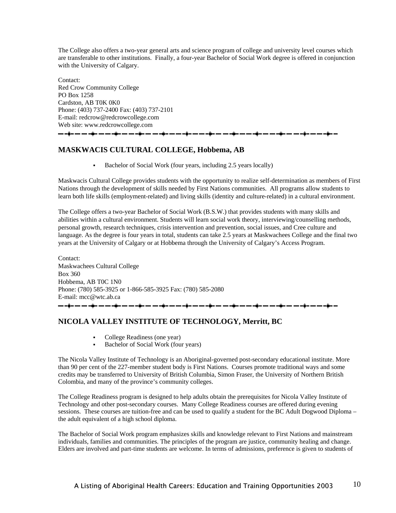The College also offers a two-year general arts and science program of college and university level courses which are transferable to other institutions. Finally, a four-year Bachelor of Social Work degree is offered in conjunction with the University of Calgary.

Contact: Red Crow Community College PO Box 1258 Cardston, AB T0K 0K0 Phone: (403) 737-2400 Fax: (403) 737-2101 E-mail: redcrow@redcrowcollege.com Web site: www.redcrowcollege.com <u>— -\$- — — -\$- — — -\$- — — -\$- — — -\$- — — -\$- — — -\$- — — -\$- — — -\$- — </u>

#### **MASKWACIS CULTURAL COLLEGE, Hobbema, AB**

Bachelor of Social Work (four years, including 2.5 years locally)

Maskwacis Cultural College provides students with the opportunity to realize self-determination as members of First Nations through the development of skills needed by First Nations communities. All programs allow students to learn both life skills (employment-related) and living skills (identity and culture-related) in a cultural environment.

The College offers a two-year Bachelor of Social Work (B.S.W.) that provides students with many skills and abilities within a cultural environment. Students will learn social work theory, interviewing/counselling methods, personal growth, research techniques, crisis intervention and prevention, social issues, and Cree culture and language. As the degree is four years in total, students can take 2.5 years at Maskwachees College and the final two years at the University of Calgary or at Hobbema through the University of Calgary's Access Program.

Contact: Maskwachees Cultural College Box 360 Hobbema, AB T0C 1N0 Phone: (780) 585-3925 or 1-866-585-3925 Fax: (780) 585-2080 E-mail: mcc@wtc.ab.ca <del>▃</del>▁▟▃▃▃▃▟▃▃▃▃<u>▊</u>▃▃▃▗▊▃▃▃▟▅▃▃▃▟<mark>▖▃▗▅</mark>▃▄▃▟▄▃▃▃<mark>▋</mark>▃▃▗▃▟▅▃▃▃▟<mark>▖</mark>▃▃▃▟

#### **NICOLA VALLEY INSTITUTE OF TECHNOLOGY, Merritt, BC**

- College Readiness (one year)
- Bachelor of Social Work (four years)

The Nicola Valley Institute of Technology is an Aboriginal-governed post-secondary educational institute. More than 90 per cent of the 227-member student body is First Nations. Courses promote traditional ways and some credits may be transferred to University of British Columbia, Simon Fraser, the University of Northern British Colombia, and many of the province's community colleges.

The College Readiness program is designed to help adults obtain the prerequisites for Nicola Valley Institute of Technology and other post-secondary courses. Many College Readiness courses are offered during evening sessions. These courses are tuition-free and can be used to qualify a student for the BC Adult Dogwood Diploma – the adult equivalent of a high school diploma.

The Bachelor of Social Work program emphasizes skills and knowledge relevant to First Nations and mainstream individuals, families and communities. The principles of the program are justice, community healing and change. Elders are involved and part-time students are welcome. In terms of admissions, preference is given to students of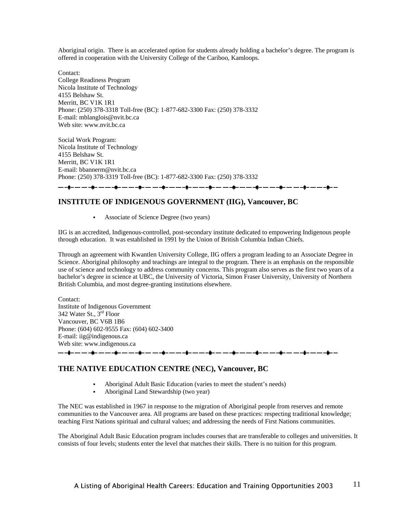Aboriginal origin. There is an accelerated option for students already holding a bachelor's degree. The program is offered in cooperation with the University College of the Cariboo, Kamloops.

Contact: College Readiness Program Nicola Institute of Technology 4155 Belshaw St. Merritt, BC V1K 1R1 Phone: (250) 378-3318 Toll-free (BC): 1-877-682-3300 Fax: (250) 378-3332 E-mail: mblanglois@nvit.bc.ca Web site: www.nvit.bc.ca

Social Work Program: Nicola Institute of Technology 4155 Belshaw St. Merritt, BC V1K 1R1 E-mail: bbannerm@nvit.bc.ca Phone: (250) 378-3319 Toll-free (BC): 1-877-682-3300 Fax: (250) 378-3332 <del>▁</del>▁▁▗▊▁▁▁▁▗▊▁▁▁▁▗▊▁▁▁▁▗▊▁▁▁▁▗▊▁▁▁▁▗▊▁▁▁▁▗▋▁▁▁▁▗▋▁▁▁▁▗▋▁▁▁▁▗▋▁

#### **INSTITUTE OF INDIGENOUS GOVERNMENT (IIG), Vancouver, BC**

Associate of Science Degree (two years)

IIG is an accredited, Indigenous-controlled, post-secondary institute dedicated to empowering Indigenous people through education. It was established in 1991 by the Union of British Columbia Indian Chiefs.

Through an agreement with Kwantlen University College, IIG offers a program leading to an Associate Degree in Science. Aboriginal philosophy and teachings are integral to the program. There is an emphasis on the responsible use of science and technology to address community concerns. This program also serves as the first two years of a bachelor's degree in science at UBC, the University of Victoria, Simon Fraser University, University of Northern British Columbia, and most degree-granting institutions elsewhere.

Contact: Institute of Indigenous Government 342 Water St., 3rd Floor Vancouver, BC V6B 1B6 Phone: (604) 602-9555 Fax: (604) 602-3400 E-mail: iig@indigenous.ca Web site: www.indigenous.ca

## **THE NATIVE EDUCATION CENTRE (NEC), Vancouver, BC**

Aboriginal Adult Basic Education (varies to meet the student's needs)

▃▖▃<mark>▋▃▗▃▗▃▗</mark>▐▃▗▃▗▃▗▊▃▗▃▗▃▋▃▗▃▗▐▄▗▄▗▃▗▊▃▗▃▗▋▃▄▗▊▃▄▗▟▄▃▄▗▄▋▄▃▖▄▖▟▋▄▗▃▗▄▗▊▃▗▃▗▖▊▃▗▄▐▖▟

Aboriginal Land Stewardship (two year)

The NEC was established in 1967 in response to the migration of Aboriginal people from reserves and remote communities to the Vancouver area. All programs are based on these practices: respecting traditional knowledge; teaching First Nations spiritual and cultural values; and addressing the needs of First Nations communities.

The Aboriginal Adult Basic Education program includes courses that are transferable to colleges and universities. It consists of four levels; students enter the level that matches their skills. There is no tuition for this program.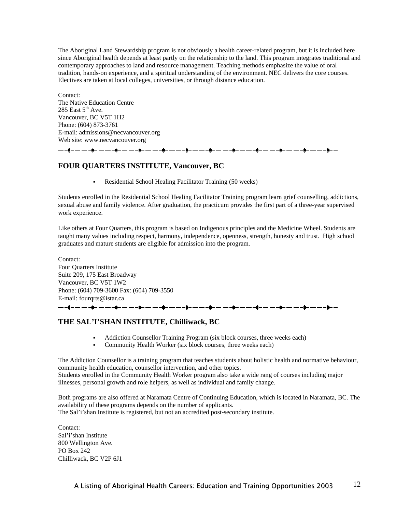The Aboriginal Land Stewardship program is not obviously a health career-related program, but it is included here since Aboriginal health depends at least partly on the relationship to the land. This program integrates traditional and contemporary approaches to land and resource management. Teaching methods emphasize the value of oral tradition, hands-on experience, and a spiritual understanding of the environment. NEC delivers the core courses. Electives are taken at local colleges, universities, or through distance education.

Contact: The Native Education Centre 285 East  $5<sup>th</sup>$  Ave. Vancouver, BC V5T 1H2 Phone: (604) 873-3761 E-mail: admissions@necvancouver.org Web site: www.necvancouver.org

#### **FOUR QUARTERS INSTITUTE, Vancouver, BC**

Residential School Healing Facilitator Training (50 weeks)

Students enrolled in the Residential School Healing Facilitator Training program learn grief counselling, addictions, sexual abuse and family violence. After graduation, the practicum provides the first part of a three-year supervised work experience.

Like others at Four Quarters, this program is based on Indigenous principles and the Medicine Wheel. Students are taught many values including respect, harmony, independence, openness, strength, honesty and trust. High school graduates and mature students are eligible for admission into the program.

Contact: Four Quarters Institute Suite 209, 175 East Broadway Vancouver, BC V5T 1W2 Phone: (604) 709-3600 Fax: (604) 709-3550 E-mail: fourqrts@istar.ca . -**. -**. -- -**.** -**.** -- -- -**.** -

#### **THE SAL'I'SHAN INSTITUTE, Chilliwack, BC**

- Addiction Counsellor Training Program (six block courses, three weeks each)
- Community Health Worker (six block courses, three weeks each)

The Addiction Counsellor is a training program that teaches students about holistic health and normative behaviour, community health education, counsellor intervention, and other topics. Students enrolled in the Community Health Worker program also take a wide rang of courses including major illnesses, personal growth and role helpers, as well as individual and family change.

Both programs are also offered at Naramata Centre of Continuing Education, which is located in Naramata, BC. The availability of these programs depends on the number of applicants. The Sal'i'shan Institute is registered, but not an accredited post-secondary institute.

Contact: Sal'i'shan Institute 800 Wellington Ave. PO Box 242 Chilliwack, BC V2P 6J1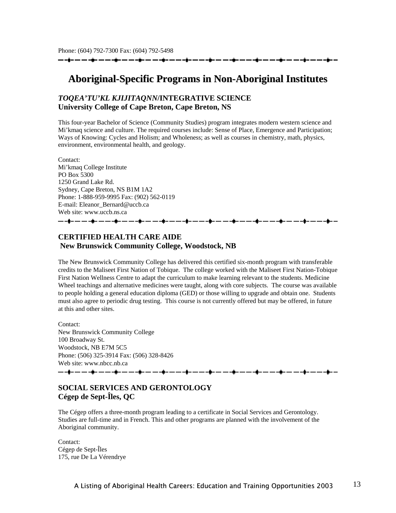-à- -- -- -à- -- --

### **Aboriginal-Specific Programs in Non-Aboriginal Institutes**

#### *TOQEA'TU'KL KJIJITAQNN***/INTEGRATIVE SCIENCE University College of Cape Breton, Cape Breton, NS**

This four-year Bachelor of Science (Community Studies) program integrates modern western science and Mi'kmaq science and culture. The required courses include: Sense of Place, Emergence and Participation; Ways of Knowing: Cycles and Holism; and Wholeness; as well as courses in chemistry, math, physics, environment, environmental health, and geology.

Contact: Mi'kmaq College Institute PO Box 5300 1250 Grand Lake Rd. Sydney, Cape Breton, NS B1M 1A2 Phone: 1-888-959-9995 Fax: (902) 562-0119 E-mail: Eleanor\_Bernard@uccb.ca Web site: www.uccb.ns.ca <u> 1989 - Andrew Mars Standard (d. 1989)</u>

#### **CERTIFIED HEALTH CARE AIDE New Brunswick Community College, Woodstock, NB**

The New Brunswick Community College has delivered this certified six-month program with transferable credits to the Maliseet First Nation of Tobique. The college worked with the Maliseet First Nation-Tobique First Nation Wellness Centre to adapt the curriculum to make learning relevant to the students. Medicine Wheel teachings and alternative medicines were taught, along with core subjects. The course was available to people holding a general education diploma (GED) or those willing to upgrade and obtain one. Students must also agree to periodic drug testing. This course is not currently offered but may be offered, in future at this and other sites.

Contact: New Brunswick Community College 100 Broadway St. Woodstock, NB E7M 5C5 Phone: (506) 325-3914 Fax: (506) 328-8426 Web site: www.nbcc.nb.ca 

#### **SOCIAL SERVICES AND GERONTOLOGY Cégep de Sept-Îles, QC**

The Cégep offers a three-month program leading to a certificate in Social Services and Gerontology. Studies are full-time and in French. This and other programs are planned with the involvement of the Aboriginal community.

Contact: Cégep de Sept-Îles 175, rue De La Vérendrye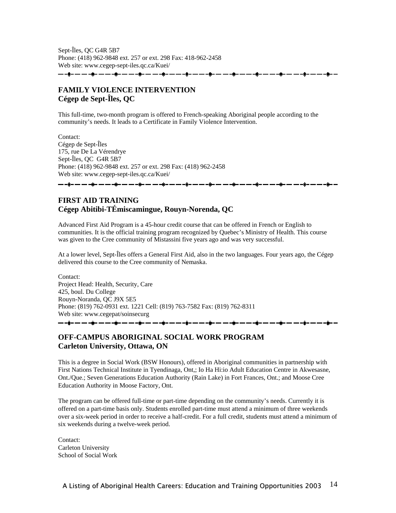Sept-Îles, QC G4R 5B7 Phone: (418) 962-9848 ext. 257 or ext. 298 Fax: 418-962-2458 Web site: www.cegep-sept-iles.qc.ca/Kuei/

— — —**ў**— — — —**ў**— — -- - **- -** -

#### **FAMILY VIOLENCE INTERVENTION Cégep de Sept-Îles, QC**

This full-time, two-month program is offered to French-speaking Aboriginal people according to the community's needs. It leads to a Certificate in Family Violence Intervention.

Contact: Cégep de Sept-Îles 175, rue De La Vérendrye Sept-Îles, QC G4R 5B7 Phone: (418) 962-9848 ext. 257 or ext. 298 Fax: (418) 962-2458 Web site: www.cegep-sept-iles.qc.ca/Kuei/

#### **FIRST AID TRAINING Cégep Abitibi-TÉmiscamingue, Rouyn-Norenda, QC**

Advanced First Aid Program is a 45-hour credit course that can be offered in French or English to communities. It is the official training program recognized by Quebec's Ministry of Health. This course was given to the Cree community of Mistassini five years ago and was very successful.

At a lower level, Sept-Îles offers a General First Aid, also in the two languages. Four years ago, the Cégep delivered this course to the Cree community of Nemaska.

Contact: Project Head: Health, Security, Care 425, boul. Du College Rouyn-Noranda, QC J9X 5E5 Phone: (819) 762-0931 ext. 1221 Cell: (819) 763-7582 Fax: (819) 762-8311 Web site: www.cegepat/soinsecurg 

#### **OFF-CAMPUS ABORIGINAL SOCIAL WORK PROGRAM Carleton University, Ottawa, ON**

This is a degree in Social Work (BSW Honours), offered in Aboriginal communities in partnership with First Nations Technical Institute in Tyendinaga, Ont,; Io Ha Hi:io Adult Education Centre in Akwesasne, Ont./Que.; Seven Generations Education Authority (Rain Lake) in Fort Frances, Ont.; and Moose Cree Education Authority in Moose Factory, Ont.

The program can be offered full-time or part-time depending on the community's needs. Currently it is offered on a part-time basis only. Students enrolled part-time must attend a minimum of three weekends over a six-week period in order to receive a half-credit. For a full credit, students must attend a minimum of six weekends during a twelve-week period.

Contact: Carleton University School of Social Work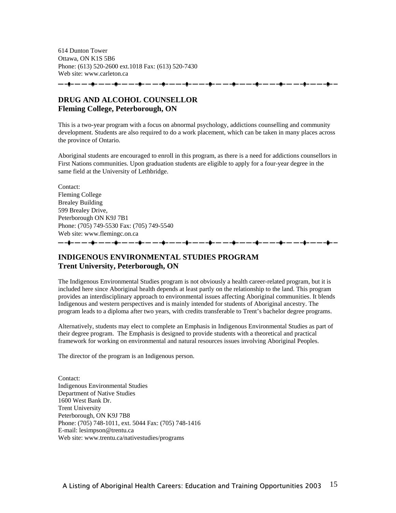614 Dunton Tower Ottawa, ON K1S 5B6 Phone: (613) 520-2600 ext.1018 Fax: (613) 520-7430 Web site: www.carleton.ca

#### **DRUG AND ALCOHOL COUNSELLOR Fleming College, Peterborough, ON**

This is a two-year program with a focus on abnormal psychology, addictions counselling and community development. Students are also required to do a work placement, which can be taken in many places across the province of Ontario.

Aboriginal students are encouraged to enroll in this program, as there is a need for addictions counsellors in First Nations communities. Upon graduation students are eligible to apply for a four-year degree in the same field at the University of Lethbridge.

Contact: Fleming College Brealey Building 599 Brealey Drive, Peterborough ON K9J 7B1 Phone: (705) 749-5530 Fax: (705) 749-5540 Web site: www.flemingc.on.ca <u>——ў- — ——ў- ———ў- — ——ў- — ——ў- — ——ў- — ——ў- — ——ў- —</u>

#### **INDIGENOUS ENVIRONMENTAL STUDIES PROGRAM Trent University, Peterborough, ON**

The Indigenous Environmental Studies program is not obviously a health career-related program, but it is included here since Aboriginal health depends at least partly on the relationship to the land. This program provides an interdisciplinary approach to environmental issues affecting Aboriginal communities. It blends Indigenous and western perspectives and is mainly intended for students of Aboriginal ancestry. The program leads to a diploma after two years, with credits transferable to Trent's bachelor degree programs.

Alternatively, students may elect to complete an Emphasis in Indigenous Environmental Studies as part of their degree program. The Emphasis is designed to provide students with a theoretical and practical framework for working on environmental and natural resources issues involving Aboriginal Peoples.

The director of the program is an Indigenous person.

Contact: Indigenous Environmental Studies Department of Native Studies 1600 West Bank Dr. Trent University Peterborough, ON K9J 7B8 Phone: (705) 748-1011, ext. 5044 Fax: (705) 748-1416 E-mail: lesimpson@trentu.ca Web site: www.trentu.ca/nativestudies/programs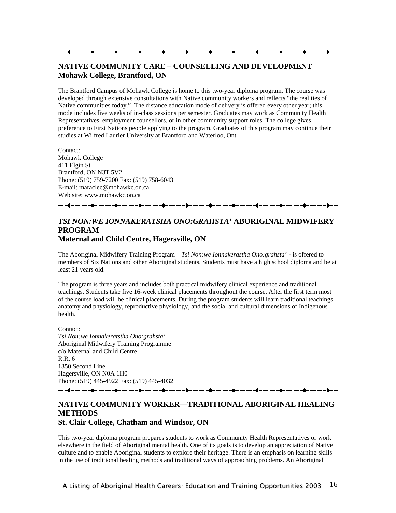#### **NATIVE COMMUNITY CARE – COUNSELLING AND DEVELOPMENT Mohawk College, Brantford, ON**

The Brantford Campus of Mohawk College is home to this two-year diploma program. The course was developed through extensive consultations with Native community workers and reflects "the realities of Native communities today." The distance education mode of delivery is offered every other year; this mode includes five weeks of in-class sessions per semester. Graduates may work as Community Health Representatives, employment counsellors, or in other community support roles. The college gives preference to First Nations people applying to the program. Graduates of this program may continue their studies at Wilfred Laurier University at Brantford and Waterloo, Ont.

Contact: Mohawk College 411 Elgin St. Brantford, ON N3T 5V2 Phone: (519) 759-7200 Fax: (519) 758-6043 E-mail: maraclec@mohawkc.on.ca Web site: www.mohawkc.on.ca

#### *TSI NON:WE IONNAKERATSHA ONO:GRAHSTA'* **ABORIGINAL MIDWIFERY PROGRAM Maternal and Child Centre, Hagersville, ON**

The Aboriginal Midwifery Training Program – *Tsi Non:we Ionnakerastha Ono:grahsta'* - is offered to members of Six Nations and other Aboriginal students. Students must have a high school diploma and be at least 21 years old.

The program is three years and includes both practical midwifery clinical experience and traditional teachings. Students take five 16-week clinical placements throughout the course. After the first term most of the course load will be clinical placements. During the program students will learn traditional teachings, anatomy and physiology, reproductive physiology, and the social and cultural dimensions of Indigenous health.

Contact: *Tsi Non:we Ionnakeratstha Ono:grahsta'*  Aboriginal Midwifery Training Programme c/o Maternal and Child Centre R.R. 6 1350 Second Line Hagersville, ON N0A 1H0 Phone: (519) 445-4922 Fax: (519) 445-4032

### **NATIVE COMMUNITY WORKER—TRADITIONAL ABORIGINAL HEALING METHODS**

**St. Clair College, Chatham and Windsor, ON** 

This two-year diploma program prepares students to work as Community Health Representatives or work elsewhere in the field of Aboriginal mental health. One of its goals is to develop an appreciation of Native culture and to enable Aboriginal students to explore their heritage. There is an emphasis on learning skills in the use of traditional healing methods and traditional ways of approaching problems. An Aboriginal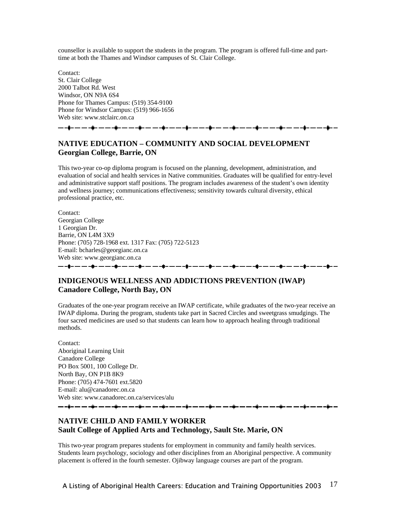counsellor is available to support the students in the program. The program is offered full-time and parttime at both the Thames and Windsor campuses of St. Clair College.

Contact: St. Clair College 2000 Talbot Rd. West Windsor, ON N9A 6S4 Phone for Thames Campus: (519) 354-9100 Phone for Windsor Campus: (519) 966-1656 Web site: www.stclairc.on.ca

#### 

#### **NATIVE EDUCATION – COMMUNITY AND SOCIAL DEVELOPMENT Georgian College, Barrie, ON**

This two-year co-op diploma program is focused on the planning, development, administration, and evaluation of social and health services in Native communities. Graduates will be qualified for entry-level and administrative support staff positions. The program includes awareness of the student's own identity and wellness journey; communications effectiveness; sensitivity towards cultural diversity, ethical professional practice, etc.

Contact: Georgian College 1 Georgian Dr. Barrie, ON L4M 3X9 Phone: (705) 728-1968 ext. 1317 Fax: (705) 722-5123 E-mail: bcharles@georgianc.on.ca Web site: www.georgianc.on.ca

#### **INDIGENOUS WELLNESS AND ADDICTIONS PREVENTION (IWAP) Canadore College, North Bay, ON**

Graduates of the one-year program receive an IWAP certificate, while graduates of the two-year receive an IWAP diploma. During the program, students take part in Sacred Circles and sweetgrass smudgings. The four sacred medicines are used so that students can learn how to approach healing through traditional methods.

Contact: Aboriginal Learning Unit Canadore College PO Box 5001, 100 College Dr. North Bay, ON P1B 8K9 Phone: (705) 474-7601 ext.5820 E-mail: alu@canadorec.on.ca Web site: www.canadorec.on.ca/services/alu

#### **NATIVE CHILD AND FAMILY WORKER Sault College of Applied Arts and Technology, Sault Ste. Marie, ON**

This two-year program prepares students for employment in community and family health services. Students learn psychology, sociology and other disciplines from an Aboriginal perspective. A community placement is offered in the fourth semester. Ojibway language courses are part of the program.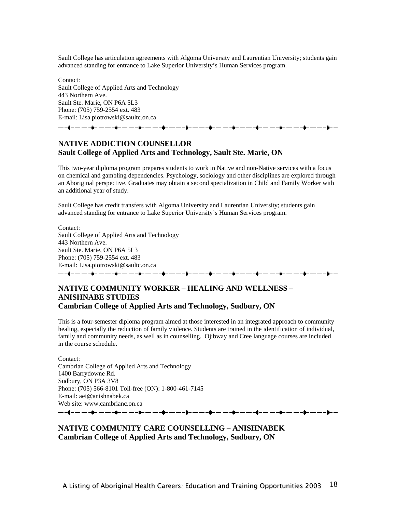Sault College has articulation agreements with Algoma University and Laurentian University; students gain advanced standing for entrance to Lake Superior University's Human Services program.

Contact: Sault College of Applied Arts and Technology 443 Northern Ave. Sault Ste. Marie, ON P6A 5L3 Phone: (705) 759-2554 ext. 483 E-mail: Lisa.piotrowski@saultc.on.ca

#### **NATIVE ADDICTION COUNSELLOR Sault College of Applied Arts and Technology, Sault Ste. Marie, ON**

<del>▃</del>▗▊▖▃▗▖▃▐▖▃▗▖▃▋▖▃▗▊▖▃▗▊▖▃▗▊▖▃▗▆▗▗▊▖▃▗▄<mark>▋</mark>▖▃▗▊▖▃▗▟<sub></sub>▖▃▗▅<sub></sub>

This two-year diploma program prepares students to work in Native and non-Native services with a focus on chemical and gambling dependencies. Psychology, sociology and other disciplines are explored through an Aboriginal perspective. Graduates may obtain a second specialization in Child and Family Worker with an additional year of study.

Sault College has credit transfers with Algoma University and Laurentian University; students gain advanced standing for entrance to Lake Superior University's Human Services program.

Contact: Sault College of Applied Arts and Technology 443 Northern Ave. Sault Ste. Marie, ON P6A 5L3 Phone: (705) 759-2554 ext. 483 E-mail: Lisa.piotrowski@saultc.on.ca 

#### **NATIVE COMMUNITY WORKER – HEALING AND WELLNESS – ANISHNABE STUDIES Cambrian College of Applied Arts and Technology, Sudbury, ON**

This is a four-semester diploma program aimed at those interested in an integrated approach to community healing, especially the reduction of family violence. Students are trained in the identification of individual, family and community needs, as well as in counselling. Ojibway and Cree language courses are included in the course schedule.

Contact: Cambrian College of Applied Arts and Technology 1400 Barrydowne Rd. Sudbury, ON P3A 3V8 Phone: (705) 566-8101 Toll-free (ON): 1-800-461-7145 E-mail: aei@anishnabek.ca Web site: www.cambrianc.on.ca 

#### **NATIVE COMMUNITY CARE COUNSELLING – ANISHNABEK Cambrian College of Applied Arts and Technology, Sudbury, ON**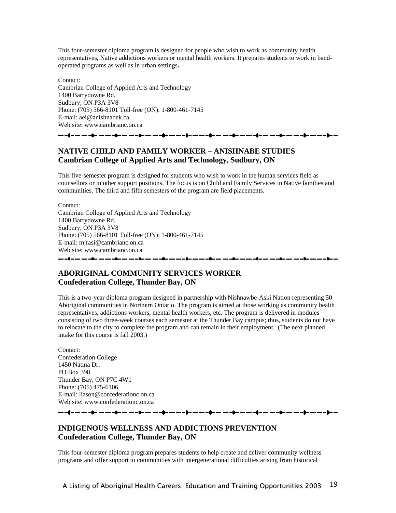This four-semester diploma program is designed for people who wish to work as community health representatives, Native addictions workers or mental health workers. It prepares students to work in bandoperated programs as well as in urban settings**.** 

Contact: Cambrian College of Applied Arts and Technology 1400 Barrydowne Rd. Sudbury, ON P3A 3V8 Phone: (705) 566-8101 Toll-free (ON): 1-800-461-7145 E-mail: aei@anishnabek.ca Web site: www.cambrianc.on.ca

## 

#### **NATIVE CHILD AND FAMILY WORKER – ANISHNABE STUDIES Cambrian College of Applied Arts and Technology, Sudbury, ON**

This five-semester program is designed for students who wish to work in the human services field as counsellors or in other support positions. The focus is on Child and Family Services in Native families and communities. The third and fifth semesters of the program are field placements.

Contact: Cambrian College of Applied Arts and Technology 1400 Barrydowne Rd. Sudbury, ON P3A 3V8 Phone: (705) 566-8101 Toll-free (ON): 1-800-461-7145 E-mail: mjrasi@cambrianc.on.ca Web site: www.cambrianc.on.ca

#### **ABORIGINAL COMMUNITY SERVICES WORKER Confederation College, Thunder Bay, ON**

This is a two-year diploma program designed in partnership with Nishnawbe-Aski Nation representing 50 Aboriginal communities in Northern Ontario. The program is aimed at those working as community health representatives, addictions workers, mental health workers, etc. The program is delivered in modules consisting of two three-week courses each semester at the Thunder Bay campus; thus, students do not have to relocate to the city to complete the program and can remain in their employment. (The next planned intake for this course is fall 2003.)

--à-----à-----à-------

Contact: Confederation College 1450 Natina Dr. PO Box 398 Thunder Bay, ON P7C 4W1 Phone: (705) 475-6106 E-mail: liason@confederationc.on.ca Web site: www.confederationc.on.ca

▃▖▃**ġ▃▗▃▗▃▃<sub>▆</sub>▃▗▃▃▃<sub>▆</sub>▃▗▃▗▃▗<sub>▆</sub>▃▃▃▃<sub>▆</sub>▃▃▃▃<sub></sub>** 

#### **INDIGENOUS WELLNESS AND ADDICTIONS PREVENTION Confederation College, Thunder Bay, ON**

This four-semester diploma program prepares students to help create and deliver community wellness programs and offer support to communities with intergenerational difficulties arising from historical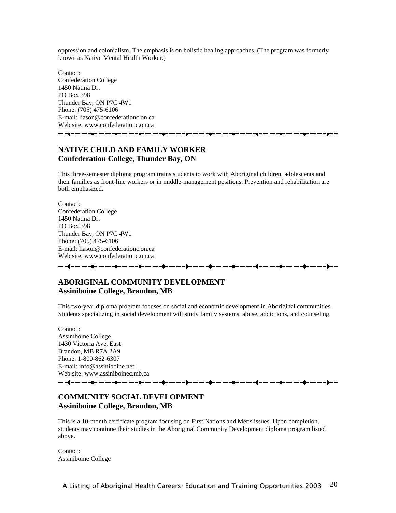oppression and colonialism. The emphasis is on holistic healing approaches. (The program was formerly known as Native Mental Health Worker.)

Contact: Confederation College 1450 Natina Dr. PO Box 398 Thunder Bay, ON P7C 4W1 Phone: (705) 475-6106 E-mail: liason@confederationc.on.ca Web site: www.confederationc.on.ca <del>▁</del>▁▗<del>▊</del>▃▗▃▗▃▗▊▃▗▃▗▃▗▊▃▗▃▗▃▗▊▃▗▃▗▟▗▃▃▗▃▗▊▃▃▃▗▊▃▃▃▗▊▃

#### **NATIVE CHILD AND FAMILY WORKER Confederation College, Thunder Bay, ON**

This three-semester diploma program trains students to work with Aboriginal children, adolescents and their families as front-line workers or in middle-management positions. Prevention and rehabilitation are both emphasized.

Contact: Confederation College 1450 Natina Dr. PO Box 398 Thunder Bay, ON P7C 4W1 Phone: (705) 475-6106 E-mail: liason@confederationc.on.ca Web site: www.confederationc.on.ca

------------------------

#### **ABORIGINAL COMMUNITY DEVELOPMENT Assiniboine College, Brandon, MB**

This two-year diploma program focuses on social and economic development in Aboriginal communities. Students specializing in social development will study family systems, abuse, addictions, and counseling.

Contact: Assiniboine College 1430 Victoria Ave. East Brandon, MB R7A 2A9 Phone: 1-800-862-6307 E-mail: info@assiniboine.net Web site: www.assiniboinec.mb.ca

#### **COMMUNITY SOCIAL DEVELOPMENT Assiniboine College, Brandon, MB**

This is a 10-month certificate program focusing on First Nations and Métis issues. Upon completion, students may continue their studies in the Aboriginal Community Development diploma program listed above.

Contact: Assiniboine College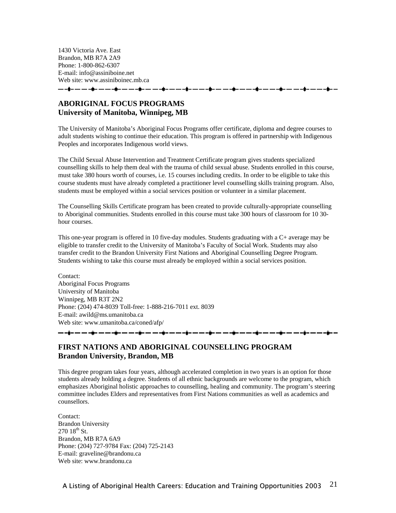1430 Victoria Ave. East Brandon, MB R7A 2A9 Phone: 1-800-862-6307 E-mail: info@assiniboine.net Web site: www.assiniboinec.mb.ca - - \$- -- -- -\$- -- -- -\$- -- -- -\$- --

**ABORIGINAL FOCUS PROGRAMS University of Manitoba, Winnipeg, MB**

The University of Manitoba's Aboriginal Focus Programs offer certificate, diploma and degree courses to adult students wishing to continue their education. This program is offered in partnership with Indigenous Peoples and incorporates Indigenous world views.

The Child Sexual Abuse Intervention and Treatment Certificate program gives students specialized counselling skills to help them deal with the trauma of child sexual abuse. Students enrolled in this course, must take 380 hours worth of courses, i.e. 15 courses including credits. In order to be eligible to take this course students must have already completed a practitioner level counselling skills training program. Also, students must be employed within a social services position or volunteer in a similar placement.

The Counselling Skills Certificate program has been created to provide culturally-appropriate counselling to Aboriginal communities. Students enrolled in this course must take 300 hours of classroom for 10 30 hour courses.

This one-year program is offered in 10 five-day modules. Students graduating with a C+ average may be eligible to transfer credit to the University of Manitoba's Faculty of Social Work. Students may also transfer credit to the Brandon University First Nations and Aboriginal Counselling Degree Program. Students wishing to take this course must already be employed within a social services position.

Contact: Aboriginal Focus Programs University of Manitoba Winnipeg, MB R3T 2N2 Phone: (204) 474-8039 Toll-free: 1-888-216-7011 ext. 8039 E-mail: awild@ms.umanitoba.ca Web site: www.umanitoba.ca/coned/afp/

## **FIRST NATIONS AND ABORIGINAL COUNSELLING PROGRAM**

**Brandon University, Brandon, MB**

This degree program takes four years, although accelerated completion in two years is an option for those students already holding a degree. Students of all ethnic backgrounds are welcome to the program, which emphasizes Aboriginal holistic approaches to counselling, healing and community. The program's steering committee includes Elders and representatives from First Nations communities as well as academics and counsellors.

Contact: Brandon University  $27018^{th}$  St. Brandon, MB R7A 6A9 Phone: (204) 727-9784 Fax: (204) 725-2143 E-mail: graveline@brandonu.ca Web site: www.brandonu.ca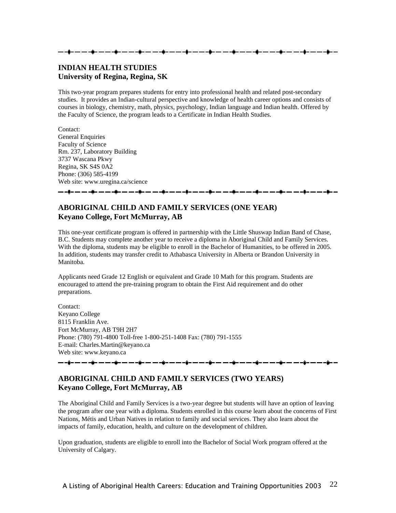#### **INDIAN HEALTH STUDIES University of Regina, Regina, SK**

This two-year program prepares students for entry into professional health and related post-secondary studies. It provides an Indian-cultural perspective and knowledge of health career options and consists of courses in biology, chemistry, math, physics, psychology, Indian language and Indian health. Offered by the Faculty of Science, the program leads to a Certificate in Indian Health Studies.

Contact: General Enquiries Faculty of Science Rm. 237, Laboratory Building 3737 Wascana Pkwy Regina, SK S4S 0A2 Phone: (306) 585-4199 Web site: www.uregina.ca/science

#### 

#### **ABORIGINAL CHILD AND FAMILY SERVICES (ONE YEAR) Keyano College, Fort McMurray, AB**

This one-year certificate program is offered in partnership with the Little Shuswap Indian Band of Chase, B.C. Students may complete another year to receive a diploma in Aboriginal Child and Family Services. With the diploma, students may be eligible to enroll in the Bachelor of Humanities, to be offered in 2005. In addition, students may transfer credit to Athabasca University in Alberta or Brandon University in Manitoba.

Applicants need Grade 12 English or equivalent and Grade 10 Math for this program. Students are encouraged to attend the pre-training program to obtain the First Aid requirement and do other preparations.

Contact: Keyano College 8115 Franklin Ave. Fort McMurray, AB T9H 2H7 Phone: (780) 791-4800 Toll-free 1-800-251-1408 Fax: (780) 791-1555 E-mail: Charles.Martin@keyano.ca Web site: www.keyano.ca

—-\$- — —-\$- — —-\$- — —-\$- — —-\$- — —-\$- — —-\$- — — -\$- — — -\$- — —-\$- — —+\$- — —-\$- — —-\$- — —+

#### **ABORIGINAL CHILD AND FAMILY SERVICES (TWO YEARS) Keyano College, Fort McMurray, AB**

The Aboriginal Child and Family Services is a two-year degree but students will have an option of leaving the program after one year with a diploma. Students enrolled in this course learn about the concerns of First Nations, Métis and Urban Natives in relation to family and social services. They also learn about the impacts of family, education, health, and culture on the development of children.

Upon graduation, students are eligible to enroll into the Bachelor of Social Work program offered at the University of Calgary.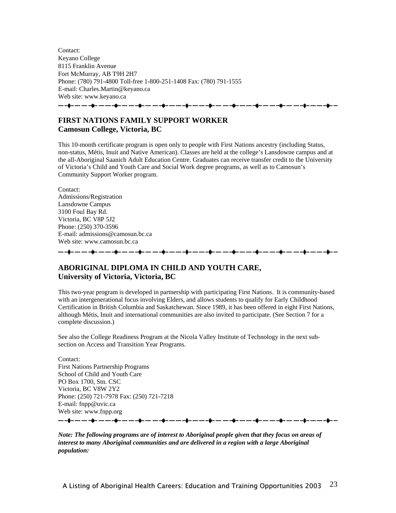Contact: Keyano College 8115 Franklin Avenue Fort McMurray, AB T9H 2H7 Phone: (780) 791-4800 Toll-free 1-800-251-1408 Fax: (780) 791-1555 E-mail: Charles.Martin@keyano.ca Web site: www.keyano.ca

<del>▁</del>▁▁▊▃▁▃▁▁▃▁▊▃▁▃▁▃▁▊▃▁▃▁▃▁▊▃▁▃▁▁▃▋▃▁▃▁▃▁▊▃▁▃▁▃▁▊▃▁▃▁▃▁▊▃▁▃▁▗▟▁▃▃

#### **FIRST NATIONS FAMILY SUPPORT WORKER Camosun College, Victoria, BC**

This 10-month certificate program is open only to people with First Nations ancestry (including Status, non-status, Métis, Inuit and Native American). Classes are held at the college's Lansdowne campus and at the all-Aboriginal Saanich Adult Education Centre. Graduates can receive transfer credit to the University of Victoria's Child and Youth Care and Social Work degree programs, as well as to Camosun's Community Support Worker program.

Contact: Admissions/Registration Lansdowne Campus 3100 Foul Bay Rd. Victoria, BC V8P 5J2 Phone: (250) 370-3596 E-mail: admissions@camosun.bc.ca Web site: www.camosun.bc.ca ------------------------i--

#### **ABORIGINAL DIPLOMA IN CHILD AND YOUTH CARE, University of Victoria, Victoria, BC**

This two-year program is developed in partnership with participating First Nations. It is community-based with an intergenerational focus involving Elders, and allows students to qualify for Early Childhood Certification in British Columbia and Saskatchewan. Since 1989, it has been offered in eight First Nations, although Métis, Inuit and international communities are also invited to participate. (See Section 7 for a complete discussion.)

See also the College Readiness Program at the Nicola Valley Institute of Technology in the next subsection on Access and Transition Year Programs.

Contact: First Nations Partnership Programs School of Child and Youth Care PO Box 1700, Stn. CSC Victoria, BC V8W 2Y2 Phone: (250) 721-7978 Fax: (250) 721-7218 E-mail: fnpp@uvic.ca Web site: www.fnpp.org <del>▁</del>▁▗▊▁▗▁▗▁▗▊▁▃▁▃▗▊▁▗▁▗▁▗▋▖▃▁▃▗▊▃▗▖▃▗▊▃▗▖▃▗▊▃▗▖▃▗▊▖▃▗▃▗▊▖▄▗▖▄▗▊▖▄▗▄▋▖▄▗▄▋▖▄

*Note: The following programs are of interest to Aboriginal people given that they focus on areas of interest to many Aboriginal communities and are delivered in a region with a large Aboriginal population:*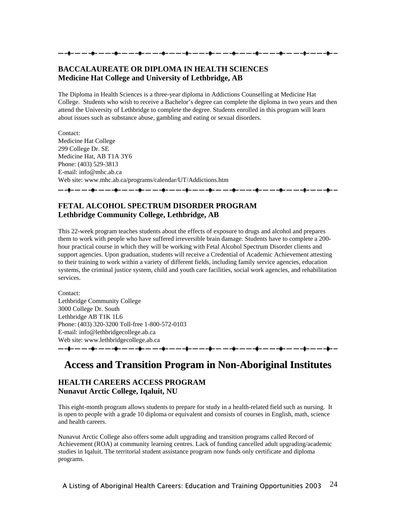#### **BACCALAUREATE OR DIPLOMA IN HEALTH SCIENCES Medicine Hat College and University of Lethbridge, AB**

The Diploma in Health Sciences is a three-year diploma in Addictions Counselling at Medicine Hat College. Students who wish to receive a Bachelor's degree can complete the diploma in two years and then attend the University of Lethbridge to complete the degree. Students enrolled in this program will learn about issues such as substance abuse, gambling and eating or sexual disorders.

Contact: Medicine Hat College 299 College Dr. SE Medicine Hat, AB T1A 3Y6 Phone: (403) 529-3813 E-mail: info@mhc.ab.ca Web site: www.mhc.ab.ca/programs/calendar/UT/Addictions.htm

#### **FETAL ALCOHOL SPECTRUM DISORDER PROGRAM Lethbridge Community College, Lethbridge, AB**

This 22-week program teaches students about the effects of exposure to drugs and alcohol and prepares them to work with people who have suffered irreversible brain damage. Students have to complete a 200 hour practical course in which they will be working with Fetal Alcohol Spectrum Disorder clients and support agencies. Upon graduation, students will receive a Credential of Academic Achievement attesting to their training to work within a variety of different fields, including family service agencies, education systems, the criminal justice system, child and youth care facilities, social work agencies, and rehabilitation services.

Contact: Lethbridge Community College 3000 College Dr. South Lethbridge AB T1K 1L6 Phone: (403) 320-3200 Toll-free 1-800-572-0103 E-mail: info@lethbridgecollege.ab.ca Web site: www.lethbridgecollege.ab.ca ▃▖▃**▆▃▗▃▁▃▅▄▖▃▃▃▃▅▃▃▃▃▄▅▃▃▃▃▄**▅▃▃▃▄▅▃▃▄▅▃▄▅<del>▖</del>

## **Access and Transition Program in Non-Aboriginal Institutes**

#### **HEALTH CAREERS ACCESS PROGRAM Nunavut Arctic College, Iqaluit, NU**

This eight-month program allows students to prepare for study in a health-related field such as nursing. It is open to people with a grade 10 diploma or equivalent and consists of courses in English, math, science and health careers.

Nunavut Arctic College also offers some adult upgrading and transition programs called Record of Achievement (ROA) at community learning centres. Lack of funding cancelled adult upgrading/academic studies in Iqaluit. The territorial student assistance program now funds only certificate and diploma programs.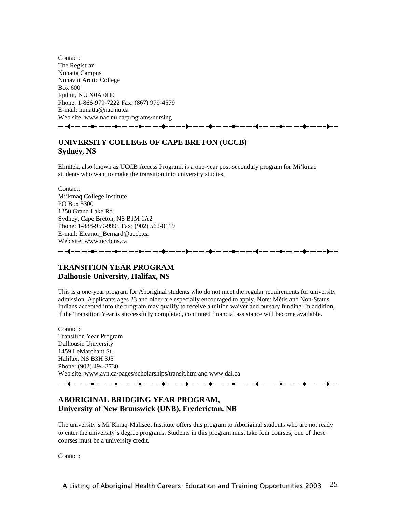Contact: The Registrar Nunatta Campus Nunavut Arctic College Box 600 Iqaluit, NU X0A 0H0 Phone: 1-866-979-7222 Fax: (867) 979-4579 E-mail: nunatta@nac.nu.ca Web site: www.nac.nu.ca/programs/nursing

#### **UNIVERSITY COLLEGE OF CAPE BRETON (UCCB) Sydney, NS**

Elmitek, also known as UCCB Access Program, is a one-year post-secondary program for Mi'kmaq students who want to make the transition into university studies.

Contact: Mi'kmaq College Institute PO Box 5300 1250 Grand Lake Rd. Sydney, Cape Breton, NS B1M 1A2 Phone: 1-888-959-9995 Fax: (902) 562-0119 E-mail: Eleanor\_Bernard@uccb.ca Web site: www.uccb.ns.ca 

#### **TRANSITION YEAR PROGRAM Dalhousie University, Halifax, NS**

This is a one-year program for Aboriginal students who do not meet the regular requirements for university admission. Applicants ages 23 and older are especially encouraged to apply. Note: Métis and Non-Status Indians accepted into the program may qualify to receive a tuition waiver and bursary funding. In addition, if the Transition Year is successfully completed, continued financial assistance will become available.

Contact: Transition Year Program Dalhousie University 1459 LeMarchant St. Halifax, NS B3H 3J5 Phone: (902) 494-3730 Web site: www.ayn.ca/pages/scholarships/transit.htm and www.dal.ca

▃▃<mark>▊▃▗▃▃▃▃▊▃▗▃▁▃▃</mark>▐▄▃▄▃▄▃▊▄▗▄▃▃▄▐▅▃▄▃▃▃▊▃▗▄▗▃▄▟▊▃▄▖▃▄▐▋▄▗▄▁▄▃▟▋

#### **ABORIGINAL BRIDGING YEAR PROGRAM, University of New Brunswick (UNB), Fredericton, NB**

The university's Mi'Kmaq-Maliseet Institute offers this program to Aboriginal students who are not ready to enter the university's degree programs. Students in this program must take four courses; one of these courses must be a university credit.

Contact: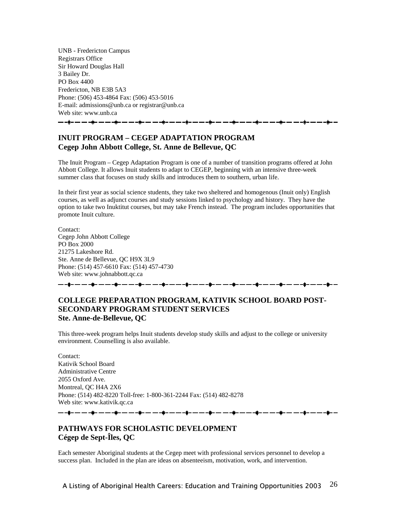UNB - Fredericton Campus Registrars Office Sir Howard Douglas Hall 3 Bailey Dr. PO Box 4400 Fredericton, NB E3B 5A3 Phone: (506) 453-4864 Fax: (506) 453-5016 E-mail: admissions@unb.ca or registrar@unb.ca Web site: www.unb.ca

#### **INUIT PROGRAM – CEGEP ADAPTATION PROGRAM Cegep John Abbott College, St. Anne de Bellevue, QC**

The Inuit Program – Cegep Adaptation Program is one of a number of transition programs offered at John Abbott College. It allows Inuit students to adapt to CEGEP, beginning with an intensive three-week summer class that focuses on study skills and introduces them to southern, urban life.

In their first year as social science students, they take two sheltered and homogenous (Inuit only) English courses, as well as adjunct courses and study sessions linked to psychology and history. They have the option to take two Inuktitut courses, but may take French instead. The program includes opportunities that promote Inuit culture.

Contact: Cegep John Abbott College PO Box 2000 21275 Lakeshore Rd. Ste. Anne de Bellevue, QC H9X 3L9 Phone: (514) 457-6610 Fax: (514) 457-4730 Web site: www.johnabbott.qc.ca ▃▃**▋▃▃▃▃▋▃▃▃▃▋▃▃▃▃▋▃▃▃▃**▋▃▃▃▟▖▃▃▃▋▃▃▃▃▋▃▃▃▟▌▃▃▃<del>▋▖▃▁▃▋▖▃</del>▗▃▋▃▃▃▃▋▃▃▃▗▋▖▃▃▃▋▖

#### **COLLEGE PREPARATION PROGRAM, KATIVIK SCHOOL BOARD POST-SECONDARY PROGRAM STUDENT SERVICES Ste. Anne-de-Bellevue, QC**

This three-week program helps Inuit students develop study skills and adjust to the college or university environment. Counselling is also available.

Contact: Kativik School Board Administrative Centre 2055 Oxford Ave. Montreal, QC H4A 2X6 Phone: (514) 482-8220 Toll-free: 1-800-361-2244 Fax: (514) 482-8278 Web site: www.kativik.qc.ca 

#### **PATHWAYS FOR SCHOLASTIC DEVELOPMENT Cégep de Sept-Îles, QC**

Each semester Aboriginal students at the Cegep meet with professional services personnel to develop a success plan. Included in the plan are ideas on absenteeism, motivation, work, and intervention.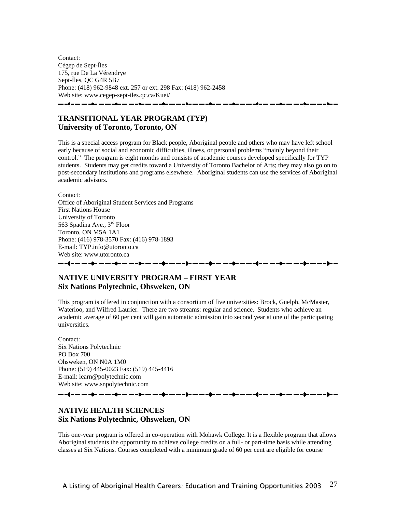Contact: Cégep de Sept-Îles 175, rue De La Vérendrye Sept-Îles, QC G4R 5B7 Phone: (418) 962-9848 ext. 257 or ext. 298 Fax: (418) 962-2458 Web site: www.cegep-sept-iles.qc.ca/Kuei/ <del>▁</del>▁▗<mark>▖▁▁▁</mark>▗▖▁▁▁<sub>▜</sub>▖▁▁▁▁<sub>▜</sub>▖▁▁▁▁<sub>▜</sub>▖▁▁▁▁<sub>▜</sub>▖▁▁▁▁<sub></sub>

#### **TRANSITIONAL YEAR PROGRAM (TYP) University of Toronto, Toronto, ON**

This is a special access program for Black people, Aboriginal people and others who may have left school early because of social and economic difficulties, illness, or personal problems "mainly beyond their control." The program is eight months and consists of academic courses developed specifically for TYP students. Students may get credits toward a University of Toronto Bachelor of Arts; they may also go on to post-secondary institutions and programs elsewhere. Aboriginal students can use the services of Aboriginal academic advisors.

Contact: Office of Aboriginal Student Services and Programs First Nations House University of Toronto 563 Spadina Ave., 3rd Floor Toronto, ON M5A 1A1 Phone: (416) 978-3570 Fax: (416) 978-1893 E-mail: TYP.info@utoronto.ca Web site: www.utoronto.ca ----------------

#### **NATIVE UNIVERSITY PROGRAM – FIRST YEAR Six Nations Polytechnic, Ohsweken, ON**

This program is offered in conjunction with a consortium of five universities: Brock, Guelph, McMaster, Waterloo, and Wilfred Laurier. There are two streams: regular and science. Students who achieve an academic average of 60 per cent will gain automatic admission into second year at one of the participating universities.

Contact: Six Nations Polytechnic PO Box 700 Ohsweken, ON N0A 1M0 Phone: (519) 445-0023 Fax: (519) 445-4416 E-mail: learn@polytechnic.com Web site: www.snpolytechnic.com

- -à- -- -- -à- -- -- -à-

#### **NATIVE HEALTH SCIENCES Six Nations Polytechnic, Ohsweken, ON**

This one-year program is offered in co-operation with Mohawk College. It is a flexible program that allows Aboriginal students the opportunity to achieve college credits on a full- or part-time basis while attending classes at Six Nations. Courses completed with a minimum grade of 60 per cent are eligible for course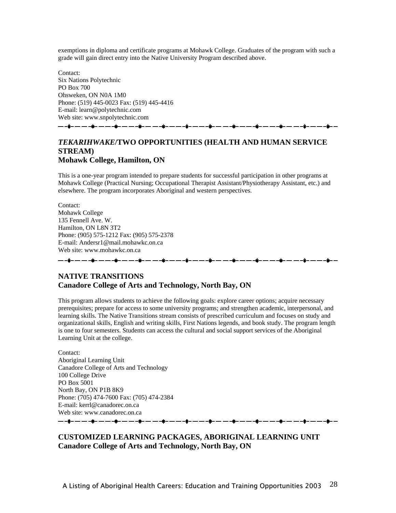exemptions in diploma and certificate programs at Mohawk College. Graduates of the program with such a grade will gain direct entry into the Native University Program described above.

Contact: Six Nations Polytechnic PO Box 700 Ohsweken, ON N0A 1M0 Phone: (519) 445-0023 Fax: (519) 445-4416 E-mail: learn@polytechnic.com Web site: www.snpolytechnic.com

——**ў**—— ——ў— ———ў— — ——ў— — ——ў— — ——ў— ———ў— —

#### *TEKARIHWAKE***/TWO OPPORTUNITIES (HEALTH AND HUMAN SERVICE STREAM) Mohawk College, Hamilton, ON**

This is a one-year program intended to prepare students for successful participation in other programs at Mohawk College (Practical Nursing; Occupational Therapist Assistant/Physiotherapy Assistant, etc.) and elsewhere. The program incorporates Aboriginal and western perspectives.

Contact: Mohawk College 135 Fennell Ave. W. Hamilton, ON L8N 3T2 Phone: (905) 575-1212 Fax: (905) 575-2378 E-mail: Andersr1@mail.mohawkc.on.ca Web site: www.mohawkc.on.ca

**å– — — –à– — — –à– — — –à– —** 

#### **NATIVE TRANSITIONS Canadore College of Arts and Technology, North Bay, ON**

This program allows students to achieve the following goals: explore career options; acquire necessary prerequisites; prepare for access to some university programs; and strengthen academic, interpersonal, and learning skills. The Native Transitions stream consists of prescribed curriculum and focuses on study and organizational skills, English and writing skills, First Nations legends, and book study. The program length is one to four semesters. Students can access the cultural and social support services of the Aboriginal Learning Unit at the college.

Contact: Aboriginal Learning Unit Canadore College of Arts and Technology 100 College Drive PO Box 5001 North Bay, ON P1B 8K9 Phone: (705) 474-7600 Fax: (705) 474-2384 E-mail: kerrl@canadorec.on.ca Web site: www.canadorec.on.ca 

#### **CUSTOMIZED LEARNING PACKAGES, ABORIGINAL LEARNING UNIT Canadore College of Arts and Technology, North Bay, ON**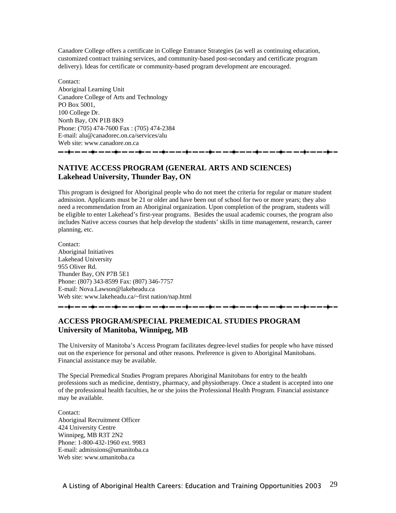Canadore College offers a certificate in College Entrance Strategies (as well as continuing education, customized contract training services, and community-based post-secondary and certificate program delivery). Ideas for certificate or community-based program development are encouraged.

Contact: Aboriginal Learning Unit Canadore College of Arts and Technology PO Box 5001, 100 College Dr. North Bay, ON P1B 8K9 Phone: (705) 474-7600 Fax : (705) 474-2384 E-mail: alu@canadorec.on.ca/services/alu Web site: www.canadore.on.ca 

#### **NATIVE ACCESS PROGRAM (GENERAL ARTS AND SCIENCES) Lakehead University, Thunder Bay, ON**

This program is designed for Aboriginal people who do not meet the criteria for regular or mature student admission. Applicants must be 21 or older and have been out of school for two or more years; they also need a recommendation from an Aboriginal organization. Upon completion of the program, students will be eligible to enter Lakehead's first-year programs. Besides the usual academic courses, the program also includes Native access courses that help develop the students' skills in time management, research, career planning, etc.

Contact: Aboriginal Initiatives Lakehead University 955 Oliver Rd. Thunder Bay, ON P7B 5E1 Phone: (807) 343-8599 Fax: (807) 346-7757 E-mail: Nova.Lawson@lakeheadu.ca Web site: www.lakeheadu.ca/~first nation/nap.html

--à-----à-----à-----**à----**

#### **ACCESS PROGRAM/SPECIAL PREMEDICAL STUDIES PROGRAM University of Manitoba, Winnipeg, MB**

The University of Manitoba's Access Program facilitates degree-level studies for people who have missed out on the experience for personal and other reasons. Preference is given to Aboriginal Manitobans. Financial assistance may be available.

The Special Premedical Studies Program prepares Aboriginal Manitobans for entry to the health professions such as medicine, dentistry, pharmacy, and physiotherapy. Once a student is accepted into one of the professional health faculties, he or she joins the Professional Health Program. Financial assistance may be available.

Contact: Aboriginal Recruitment Officer 424 University Centre Winnipeg, MB R3T 2N2 Phone: 1-800-432-1960 ext. 9983 E-mail: admissions@umanitoba.ca Web site: www.umanitoba.ca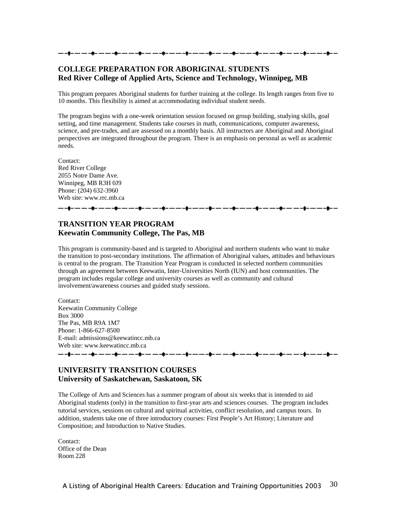#### **COLLEGE PREPARATION FOR ABORIGINAL STUDENTS Red River College of Applied Arts, Science and Technology, Winnipeg, MB**

This program prepares Aboriginal students for further training at the college. Its length ranges from five to 10 months. This flexibility is aimed at accommodating individual student needs.

The program begins with a one-week orientation session focused on group building, studying skills, goal setting, and time management. Students take courses in math, communications, computer awareness, science, and pre-trades, and are assessed on a monthly basis. All instructors are Aboriginal and Aboriginal perspectives are integrated throughout the program. There is an emphasis on personal as well as academic needs.

Contact: Red River College 2055 Notre Dame Ave. Winnipeg, MB R3H 0J9 Phone: (204) 632-3960 Web site: www.rrc.mb.ca

#### -----------

#### **TRANSITION YEAR PROGRAM Keewatin Community College, The Pas, MB**

This program is community-based and is targeted to Aboriginal and northern students who want to make the transition to post-secondary institutions. The affirmation of Aboriginal values, attitudes and behaviours is central to the program. The Transition Year Program is conducted in selected northern communities through an agreement between Keewatin, Inter-Universities North (IUN) and host communities. The program includes regular college and university courses as well as community and cultural involvement/awareness courses and guided study sessions.

Contact: Keewatin Community College Box 3000 The Pas, MB R9A 1M7 Phone: 1-866-627-8500 E-mail: admissions@keewatincc.mb.ca Web site: www.keewatincc.mb.ca

\_\_ \_\_ \_**\_\_** \_\_ \_\_ \_\_

**UNIVERSITY TRANSITION COURSES** 

#### **University of Saskatchewan, Saskatoon, SK**

The College of Arts and Sciences has a summer program of about six weeks that is intended to aid Aboriginal students (only) in the transition to first-year arts and sciences courses. The program includes tutorial services, sessions on cultural and spiritual activities, conflict resolution, and campus tours. In addition, students take one of three introductory courses: First People's Art History; Literature and Composition; and Introduction to Native Studies.

Contact: Office of the Dean Room 228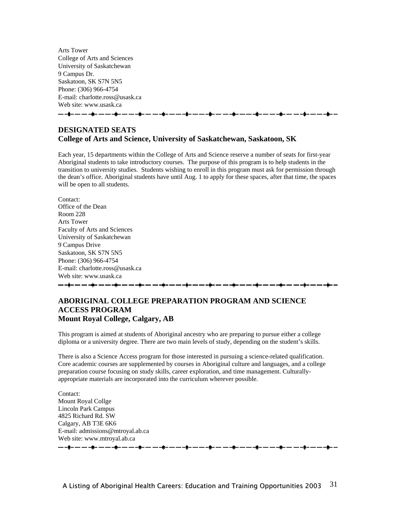Arts Tower College of Arts and Sciences University of Saskatchewan 9 Campus Dr. Saskatoon, SK S7N 5N5 Phone: (306) 966-4754 E-mail: charlotte.ross@usask.ca Web site: www.usask.ca 

#### **DESIGNATED SEATS College of Arts and Science, University of Saskatchewan, Saskatoon, SK**

Each year, 15 departments within the College of Arts and Science reserve a number of seats for first-year Aboriginal students to take introductory courses. The purpose of this program is to help students in the transition to university studies. Students wishing to enroll in this program must ask for permission through the dean's office. Aboriginal students have until Aug. 1 to apply for these spaces, after that time, the spaces will be open to all students.

Contact: Office of the Dean Room 228 Arts Tower Faculty of Arts and Sciences University of Saskatchewan 9 Campus Drive Saskatoon, SK S7N 5N5 Phone: (306) 966-4754 E-mail: charlotte.ross@usask.ca Web site: www.usask.ca 

#### **ABORIGINAL COLLEGE PREPARATION PROGRAM AND SCIENCE ACCESS PROGRAM Mount Royal College, Calgary, AB**

This program is aimed at students of Aboriginal ancestry who are preparing to pursue either a college diploma or a university degree. There are two main levels of study, depending on the student's skills.

There is also a Science Access program for those interested in pursuing a science-related qualification. Core academic courses are supplemented by courses in Aboriginal culture and languages, and a college preparation course focusing on study skills, career exploration, and time management. Culturallyappropriate materials are incorporated into the curriculum wherever possible.

Contact: Mount Royal Collge Lincoln Park Campus 4825 Richard Rd. SW Calgary, AB T3E 6K6 E-mail: admissions@mtroyal.ab.ca Web site: www.mtroyal.ab.ca \_\_ \_\_\_\_ \_\_ \_\_ \_\_\_\_\_\_\_\_\_ - -à- -- -- -à- -- -- -à- --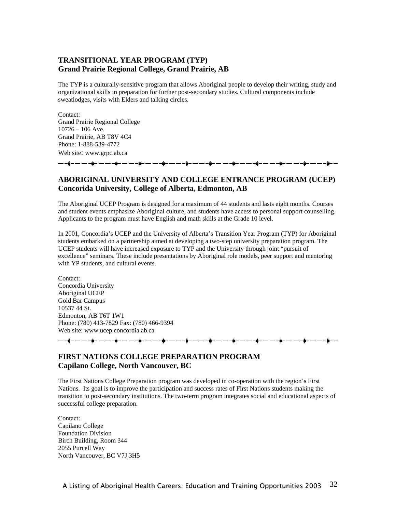#### **TRANSITIONAL YEAR PROGRAM (TYP) Grand Prairie Regional College, Grand Prairie, AB**

The TYP is a culturally-sensitive program that allows Aboriginal people to develop their writing, study and organizational skills in preparation for further post-secondary studies. Cultural components include sweatlodges, visits with Elders and talking circles.

Contact: Grand Prairie Regional College  $10726 - 106$  Ave. Grand Prairie, AB T8V 4C4 Phone: 1-888-539-4772 Web site: www.grpc.ab.ca

#### **ABORIGINAL UNIVERSITY AND COLLEGE ENTRANCE PROGRAM (UCEP) Concorida University, College of Alberta, Edmonton, AB**

The Aboriginal UCEP Program is designed for a maximum of 44 students and lasts eight months. Courses and student events emphasize Aboriginal culture, and students have access to personal support counselling. Applicants to the program must have English and math skills at the Grade 10 level.

In 2001, Concordia's UCEP and the University of Alberta's Transition Year Program (TYP) for Aboriginal students embarked on a partnership aimed at developing a two-step university preparation program. The UCEP students will have increased exposure to TYP and the University through joint "pursuit of excellence" seminars. These include presentations by Aboriginal role models, peer support and mentoring with YP students, and cultural events.

Contact: Concordia University Aboriginal UCEP Gold Bar Campus 10537 44 St. Edmonton, AB T6T 1W1 Phone: (780) 413-7829 Fax: (780) 466-9394 Web site: www.ucep.concordia.ab.ca

- -- -**i**-

#### **FIRST NATIONS COLLEGE PREPARATION PROGRAM Capilano College, North Vancouver, BC**

The First Nations College Preparation program was developed in co-operation with the region's First Nations. Its goal is to improve the participation and success rates of First Nations students making the transition to post-secondary institutions. The two-term program integrates social and educational aspects of successful college preparation.

Contact: Capilano College Foundation Division Birch Building, Room 344 2055 Purcell Way North Vancouver, BC V7J 3H5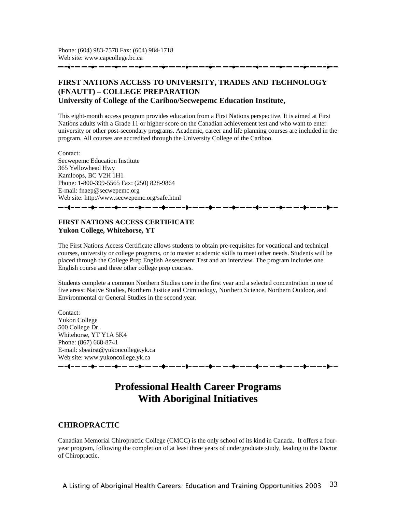#### **FIRST NATIONS ACCESS TO UNIVERSITY, TRADES AND TECHNOLOGY (FNAUTT) – COLLEGE PREPARATION University of College of the Cariboo/Secwepemc Education Institute,**

This eight-month access program provides education from a First Nations perspective. It is aimed at First Nations adults with a Grade 11 or higher score on the Canadian achievement test and who want to enter university or other post-secondary programs. Academic, career and life planning courses are included in the program. All courses are accredited through the University College of the Cariboo.

Contact: Secwepemc Education Institute 365 Yellowhead Hwy Kamloops, BC V2H 1H1 Phone: 1-800-399-5565 Fax: (250) 828-9864 E-mail: fnaep@secwepemc.org Web site: http://www.secwepemc.org/safe.html \_\_\_\_\_\_\_\_\_\_\_\_\_\_\_\_\_\_\_\_\_\_\_\_\_\_\_\_\_\_

#### **FIRST NATIONS ACCESS CERTIFICATE Yukon College, Whitehorse, YT**

The First Nations Access Certificate allows students to obtain pre-requisites for vocational and technical courses, university or college programs, or to master academic skills to meet other needs. Students will be placed through the College Prep English Assessment Test and an interview. The program includes one English course and three other college prep courses.

Students complete a common Northern Studies core in the first year and a selected concentration in one of five areas: Native Studies, Northern Justice and Criminology, Northern Science, Northern Outdoor, and Environmental or General Studies in the second year.

Contact: Yukon College 500 College Dr. Whitehorse, YT Y1A 5K4 Phone: (867) 668-8741 E-mail: sbeairst@yukoncollege.yk.ca Web site: www.yukoncollege.yk.ca <del>▁</del>▁▟▖▃▁▁<sub>▜</sub>▖▁▁▁<sub>▜</sub>▖▁▁▁<sub>▜</sub>▖▁▁▁<sub>▜</sub>▖▁▁▁<sub>▜</sub>▖▁▁▁<sub>▜</sub>▖▁▁▁▌<sub>▜</sub>▖▁▁▁▟▖▁▁▁▟▖▁▁▁▟▖▁▁▁▟▖▁▁▁▟▖▁▁▁

## **Professional Health Career Programs With Aboriginal Initiatives**

#### **CHIROPRACTIC**

Canadian Memorial Chiropractic College (CMCC) is the only school of its kind in Canada. It offers a fouryear program, following the completion of at least three years of undergraduate study, leading to the Doctor of Chiropractic.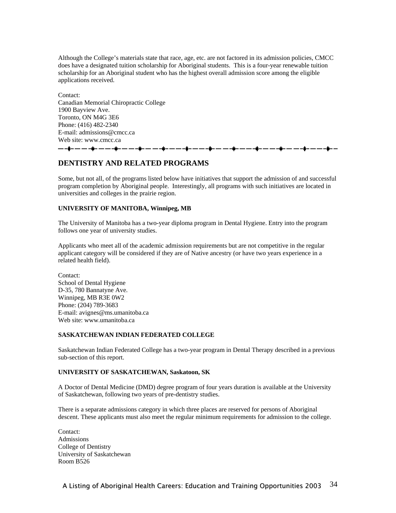Although the College's materials state that race, age, etc. are not factored in its admission policies, CMCC does have a designated tuition scholarship for Aboriginal students. This is a four-year renewable tuition scholarship for an Aboriginal student who has the highest overall admission score among the eligible applications received.

Contact: Canadian Memorial Chiropractic College 1900 Bayview Ave. Toronto, ON M4G 3E6 Phone: (416) 482-2340 E-mail: admissions@cmcc.ca Web site: www.cmcc.ca

- -- -- -**:**- -- -- <del>- i</del>

#### **DENTISTRY AND RELATED PROGRAMS**

Some, but not all, of the programs listed below have initiatives that support the admission of and successful program completion by Aboriginal people. Interestingly, all programs with such initiatives are located in universities and colleges in the prairie region.

#### **UNIVERSITY OF MANITOBA, Winnipeg, MB**

The University of Manitoba has a two-year diploma program in Dental Hygiene. Entry into the program follows one year of university studies.

Applicants who meet all of the academic admission requirements but are not competitive in the regular applicant category will be considered if they are of Native ancestry (or have two years experience in a related health field).

Contact: School of Dental Hygiene D-35, 780 Bannatyne Ave. Winnipeg, MB R3E 0W2 Phone: (204) 789-3683 E-mail: avignes@ms.umanitoba.ca Web site: www.umanitoba.ca

#### **SASKATCHEWAN INDIAN FEDERATED COLLEGE**

Saskatchewan Indian Federated College has a two-year program in Dental Therapy described in a previous sub-section of this report.

#### **UNIVERSITY OF SASKATCHEWAN, Saskatoon, SK**

A Doctor of Dental Medicine (DMD) degree program of four years duration is available at the University of Saskatchewan, following two years of pre-dentistry studies.

There is a separate admissions category in which three places are reserved for persons of Aboriginal descent. These applicants must also meet the regular minimum requirements for admission to the college.

Contact: Admissions College of Dentistry University of Saskatchewan Room B526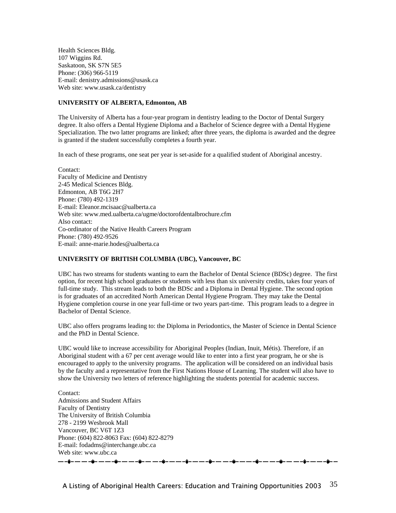Health Sciences Bldg. 107 Wiggins Rd. Saskatoon, SK S7N 5E5 Phone: (306) 966-5119 E-mail: denistry.admissions@usask.ca Web site: www.usask.ca/dentistry

#### **UNIVERSITY OF ALBERTA, Edmonton, AB**

The University of Alberta has a four-year program in dentistry leading to the Doctor of Dental Surgery degree. It also offers a Dental Hygiene Diploma and a Bachelor of Science degree with a Dental Hygiene Specialization. The two latter programs are linked; after three years, the diploma is awarded and the degree is granted if the student successfully completes a fourth year.

In each of these programs, one seat per year is set-aside for a qualified student of Aboriginal ancestry.

Contact: Faculty of Medicine and Dentistry 2-45 Medical Sciences Bldg. Edmonton, AB T6G 2H7 Phone: (780) 492-1319 E-mail: Eleanor.mcisaac@ualberta.ca Web site: www.med.ualberta.ca/ugme/doctorofdentalbrochure.cfm Also contact: Co-ordinator of the Native Health Careers Program Phone: (780) 492-9526 E-mail: anne-marie.hodes@ualberta.ca

#### **UNIVERSITY OF BRITISH COLUMBIA (UBC), Vancouver, BC**

UBC has two streams for students wanting to earn the Bachelor of Dental Science (BDSc) degree. The first option, for recent high school graduates or students with less than six university credits, takes four years of full-time study. This stream leads to both the BDSc and a Diploma in Dental Hygiene. The second option is for graduates of an accredited North American Dental Hygiene Program. They may take the Dental Hygiene completion course in one year full-time or two years part-time. This program leads to a degree in Bachelor of Dental Science.

UBC also offers programs leading to: the Diploma in Periodontics, the Master of Science in Dental Science and the PhD in Dental Science.

UBC would like to increase accessibility for Aboriginal Peoples (Indian, Inuit, Métis). Therefore, if an Aboriginal student with a 67 per cent average would like to enter into a first year program, he or she is encouraged to apply to the university programs. The application will be considered on an individual basis by the faculty and a representative from the First Nations House of Learning. The student will also have to show the University two letters of reference highlighting the students potential for academic success.

Contact: Admissions and Student Affairs Faculty of Dentistry The University of British Columbia 278 - 2199 Wesbrook Mall Vancouver, BC V6T 1Z3 Phone: (604) 822-8063 Fax: (604) 822-8279 E-mail: fodadms@interchange.ubc.ca Web site: www.ubc.ca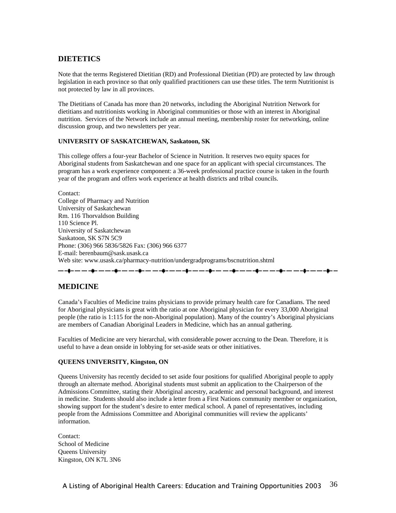#### **DIETETICS**

Note that the terms Registered Dietitian (RD) and Professional Dietitian (PD) are protected by law through legislation in each province so that only qualified practitioners can use these titles. The term Nutritionist is not protected by law in all provinces.

The Dietitians of Canada has more than 20 networks, including the Aboriginal Nutrition Network for dietitians and nutritionists working in Aboriginal communities or those with an interest in Aboriginal nutrition. Services of the Network include an annual meeting, membership roster for networking, online discussion group, and two newsletters per year.

#### **UNIVERSITY OF SASKATCHEWAN, Saskatoon, SK**

This college offers a four-year Bachelor of Science in Nutrition. It reserves two equity spaces for Aboriginal students from Saskatchewan and one space for an applicant with special circumstances. The program has a work experience component: a 36-week professional practice course is taken in the fourth year of the program and offers work experience at health districts and tribal councils.

Contact: College of Pharmacy and Nutrition University of Saskatchewan Rm. 116 Thorvaldson Building 110 Science Pl. University of Saskatchewan Saskatoon, SK S7N 5C9 Phone: (306) 966 5836/5826 Fax: (306) 966 6377 E-mail: berenbaum@sask.usask.ca Web site: www.usask.ca/pharmacy-nutrition/undergradprograms/bscnutrition.shtml

## .<br>.<br>.<br>.

#### **MEDICINE**

Canada's Faculties of Medicine trains physicians to provide primary health care for Canadians. The need for Aboriginal physicians is great with the ratio at one Aboriginal physician for every 33,000 Aboriginal people (the ratio is 1:115 for the non-Aboriginal population). Many of the country's Aboriginal physicians are members of Canadian Aboriginal Leaders in Medicine, which has an annual gathering.

Faculties of Medicine are very hierarchal, with considerable power accruing to the Dean. Therefore, it is useful to have a dean onside in lobbying for set-aside seats or other initiatives.

#### **QUEENS UNIVERSITY, Kingston, ON**

Queens University has recently decided to set aside four positions for qualified Aboriginal people to apply through an alternate method. Aboriginal students must submit an application to the Chairperson of the Admissions Committee, stating their Aboriginal ancestry, academic and personal background, and interest in medicine. Students should also include a letter from a First Nations community member or organization, showing support for the student's desire to enter medical school. A panel of representatives, including people from the Admissions Committee and Aboriginal communities will review the applicants' information.

Contact: School of Medicine Queens University Kingston, ON K7L 3N6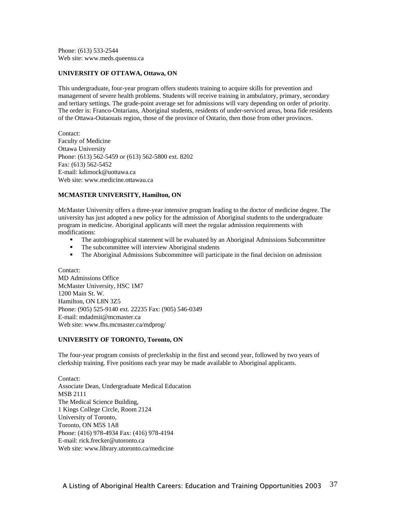Phone: (613) 533-2544 Web site: www.meds.queensu.ca

### **UNIVERSITY OF OTTAWA, Ottawa, ON**

This undergraduate, four-year program offers students training to acquire skills for prevention and management of severe health problems. Students will receive training in ambulatory, primary, secondary and tertiary settings. The grade-point average set for admissions will vary depending on order of priority. The order is: Franco-Ontarians, Aboriginal students, residents of under-serviced areas, bona fide residents of the Ottawa-Outaouais region, those of the province of Ontario, then those from other provinces.

Contact: Faculty of Medicine Ottawa University Phone: (613) 562-5459 or (613) 562-5800 ext. 8202 Fax: (613) 562-5452 E-mail: kdimock@uottawa.ca Web site: www.medicine.ottawau.ca

### **MCMASTER UNIVERSITY, Hamilton, ON**

McMaster University offers a three-year intensive program leading to the doctor of medicine degree. The university has just adopted a new policy for the admission of Aboriginal students to the undergraduate program in medicine. Aboriginal applicants will meet the regular admission requirements with modifications:

- The autobiographical statement will be evaluated by an Aboriginal Admissions Subcommittee
- The subcommittee will interview Aboriginal students
- The Aboriginal Admissions Subcommittee will participate in the final decision on admission

Contact: MD Admissions Office McMaster University, HSC 1M7 1200 Main St. W. Hamilton, ON L8N 3Z5 Phone: (905) 525-9140 ext. 22235 Fax: (905) 546-0349 E-mail: mdadmit@mcmaster.ca Web site: www.fhs.mcmaster.ca/mdprog/

### **UNIVERSITY OF TORONTO, Toronto, ON**

The four-year program consists of preclerkship in the first and second year, followed by two years of clerkship training. Five positions each year may be made available to Aboriginal applicants.

Contact: Associate Dean, Undergraduate Medical Education MSB 2111 The Medical Science Building, 1 Kings College Circle, Room 2124 University of Toronto, Toronto, ON M5S 1A8 Phone: (416) 978-4934 Fax: (416) 978-4194 E-mail: rick.frecker@utoronto.ca Web site: www.library.utoronto.ca/medicine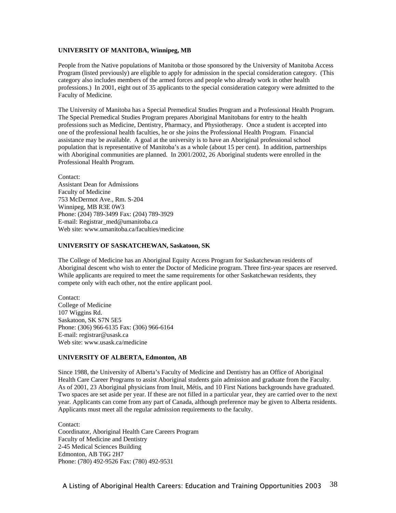### **UNIVERSITY OF MANITOBA, Winnipeg, MB**

People from the Native populations of Manitoba or those sponsored by the University of Manitoba Access Program (listed previously) are eligible to apply for admission in the special consideration category. (This category also includes members of the armed forces and people who already work in other health professions.) In 2001, eight out of 35 applicants to the special consideration category were admitted to the Faculty of Medicine.

The University of Manitoba has a Special Premedical Studies Program and a Professional Health Program. The Special Premedical Studies Program prepares Aboriginal Manitobans for entry to the health professions such as Medicine, Dentistry, Pharmacy, and Physiotherapy. Once a student is accepted into one of the professional health faculties, he or she joins the Professional Health Program. Financial assistance may be available. A goal at the university is to have an Aboriginal professional school population that is representative of Manitoba's as a whole (about 15 per cent). In addition, partnerships with Aboriginal communities are planned. In 2001/2002, 26 Aboriginal students were enrolled in the Professional Health Program.

Contact: Assistant Dean for Admissions Faculty of Medicine 753 McDermot Ave., Rm. S-204 Winnipeg, MB R3E 0W3 Phone: (204) 789-3499 Fax: (204) 789-3929 E-mail: Registrar\_med@umanitoba.ca Web site: www.umanitoba.ca/faculties/medicine

### **UNIVERSITY OF SASKATCHEWAN, Saskatoon, SK**

The College of Medicine has an Aboriginal Equity Access Program for Saskatchewan residents of Aboriginal descent who wish to enter the Doctor of Medicine program. Three first-year spaces are reserved. While applicants are required to meet the same requirements for other Saskatchewan residents, they compete only with each other, not the entire applicant pool.

Contact: College of Medicine 107 Wiggins Rd. Saskatoon, SK S7N 5E5 Phone: (306) 966-6135 Fax: (306) 966-6164 E-mail: registrar@usask.ca Web site: www.usask.ca/medicine

#### **UNIVERSITY OF ALBERTA, Edmonton, AB**

Since 1988, the University of Alberta's Faculty of Medicine and Dentistry has an Office of Aboriginal Health Care Career Programs to assist Aboriginal students gain admission and graduate from the Faculty. As of 2001, 23 Aboriginal physicians from Inuit, Métis, and 10 First Nations backgrounds have graduated. Two spaces are set aside per year. If these are not filled in a particular year, they are carried over to the next year. Applicants can come from any part of Canada, although preference may be given to Alberta residents. Applicants must meet all the regular admission requirements to the faculty.

Contact: Coordinator, Aboriginal Health Care Careers Program Faculty of Medicine and Dentistry 2-45 Medical Sciences Building Edmonton, AB T6G 2H7 Phone: (780) 492-9526 Fax: (780) 492-9531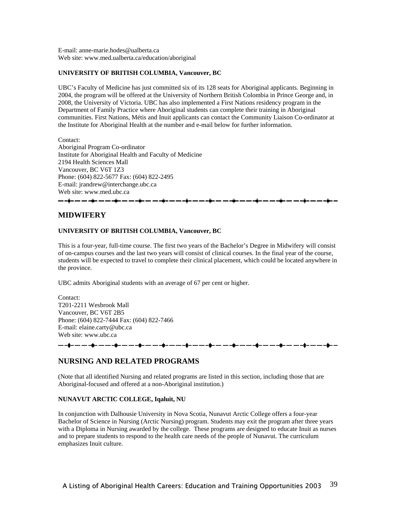E-mail: anne-marie.hodes@ualberta.ca Web site: www.med.ualberta.ca/education/aboriginal

### **UNIVERSITY OF BRITISH COLUMBIA, Vancouver, BC**

UBC's Faculty of Medicine has just committed six of its 128 seats for Aboriginal applicants. Beginning in 2004, the program will be offered at the University of Northern British Colombia in Prince George and, in 2008, the University of Victoria. UBC has also implemented a First Nations residency program in the Department of Family Practice where Aboriginal students can complete their training in Aboriginal communities. First Nations, Métis and Inuit applicants can contact the Community Liaison Co-ordinator at the Institute for Aboriginal Health at the number and e-mail below for further information.

Contact:

Aboriginal Program Co-ordinator Institute for Aboriginal Health and Faculty of Medicine 2194 Health Sciences Mall Vancouver, BC V6T 1Z3 Phone: (604) 822-5677 Fax: (604) 822-2495 E-mail: jrandrew@interchange.ubc.ca Web site: www.med.ubc.ca \_\_ \_\_ \_**j\_** \_

### **MIDWIFERY**

### **UNIVERSITY OF BRITISH COLUMBIA, Vancouver, BC**

This is a four-year, full-time course. The first two years of the Bachelor's Degree in Midwifery will consist of on-campus courses and the last two years will consist of clinical courses. In the final year of the course, students will be expected to travel to complete their clinical placement, which could be located anywhere in the province.

UBC admits Aboriginal students with an average of 67 per cent or higher.

Contact: T201-2211 Wesbrook Mall Vancouver, BC V6T 2B5 Phone: (604) 822-7444 Fax: (604) 822-7466 E-mail: elaine.carty@ubc.ca Web site: www.ubc.ca

#### 

### **NURSING AND RELATED PROGRAMS**

(Note that all identified Nursing and related programs are listed in this section, including those that are Aboriginal-focused and offered at a non-Aboriginal institution.)

### **NUNAVUT ARCTIC COLLEGE, Iqaluit, NU**

In conjunction with Dalhousie University in Nova Scotia, Nunavut Arctic College offers a four-year Bachelor of Science in Nursing (Arctic Nursing) program. Students may exit the program after three years with a Diploma in Nursing awarded by the college. These programs are designed to educate Inuit as nurses and to prepare students to respond to the health care needs of the people of Nunavut. The curriculum emphasizes Inuit culture.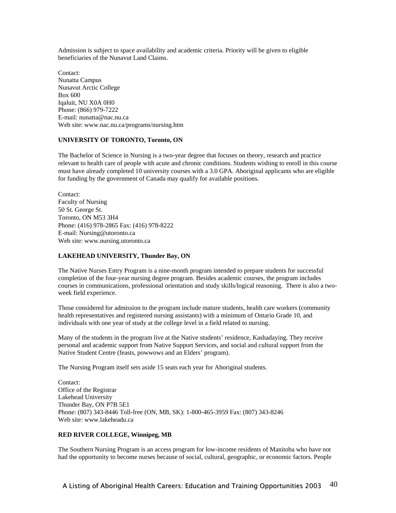Admission is subject to space availability and academic criteria. Priority will be given to eligible beneficiaries of the Nunavut Land Claims.

Contact: Nunatta Campus Nunavut Arctic College Box 600 Iqaluit, NU X0A 0H0 Phone: (866) 979-7222 E-mail: nunatta@nac.nu.ca Web site: www.nac.nu.ca/programs/nursing.htm

### **UNIVERSITY OF TORONTO, Toronto, ON**

The Bachelor of Science in Nursing is a two-year degree that focuses on theory, research and practice relevant to health care of people with acute and chronic conditions. Students wishing to enroll in this course must have already completed 10 university courses with a 3.0 GPA. Aboriginal applicants who are eligible for funding by the government of Canada may qualify for available positions.

Contact: Faculty of Nursing 50 St. George St. Toronto, ON M53 3H4 Phone: (416) 978-2865 Fax: (416) 978-8222 E-mail: Nursing@utoronto.ca Web site: www.nursing.utoronto.ca

### **LAKEHEAD UNIVERSITY, Thunder Bay, ON**

The Native Nurses Entry Program is a nine-month program intended to prepare students for successful completion of the four-year nursing degree program. Besides academic courses, the program includes courses in communications, professional orientation and study skills/logical reasoning. There is also a twoweek field experience.

Those considered for admission to the program include mature students, health care workers (community health representatives and registered nursing assistants) with a minimum of Ontario Grade 10, and individuals with one year of study at the college level in a field related to nursing.

Many of the students in the program live at the Native students' residence, Kashadaying. They receive personal and academic support from Native Support Services, and social and cultural support from the Native Student Centre (feasts, powwows and an Elders' program).

The Nursing Program itself sets aside 15 seats each year for Aboriginal students.

Contact: Office of the Registrar Lakehead University Thunder Bay, ON P7B 5E1 Phone: (807) 343-8446 Toll-free (ON, MB, SK): 1-800-465-3959 Fax: (807) 343-8246 Web site: www.lakeheadu.ca

### **RED RIVER COLLEGE, Winnipeg, MB**

The Southern Nursing Program is an access program for low-income residents of Manitoba who have not had the opportunity to become nurses because of social, cultural, geographic, or economic factors. People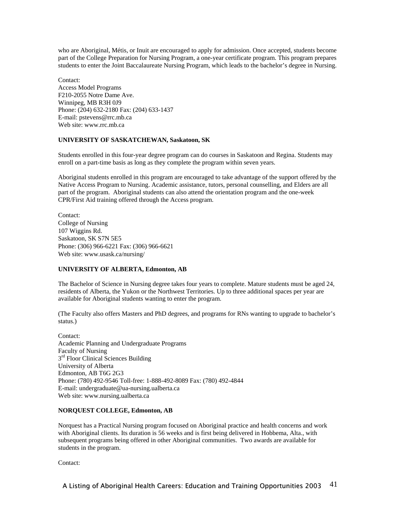who are Aboriginal, Métis, or Inuit are encouraged to apply for admission. Once accepted, students become part of the College Preparation for Nursing Program, a one-year certificate program. This program prepares students to enter the Joint Baccalaureate Nursing Program, which leads to the bachelor's degree in Nursing.

Contact: Access Model Programs F210-2055 Notre Dame Ave. Winnipeg, MB R3H 0J9 Phone: (204) 632-2180 Fax: (204) 633-1437 E-mail: pstevens@rrc.mb.ca Web site: www.rrc.mb.ca

### **UNIVERSITY OF SASKATCHEWAN, Saskatoon, SK**

Students enrolled in this four-year degree program can do courses in Saskatoon and Regina. Students may enroll on a part-time basis as long as they complete the program within seven years.

Aboriginal students enrolled in this program are encouraged to take advantage of the support offered by the Native Access Program to Nursing. Academic assistance, tutors, personal counselling, and Elders are all part of the program. Aboriginal students can also attend the orientation program and the one-week CPR/First Aid training offered through the Access program.

Contact: College of Nursing 107 Wiggins Rd. Saskatoon, SK S7N 5E5 Phone: (306) 966-6221 Fax: (306) 966-6621 Web site: www.usask.ca/nursing/

### **UNIVERSITY OF ALBERTA, Edmonton, AB**

The Bachelor of Science in Nursing degree takes four years to complete. Mature students must be aged 24, residents of Alberta, the Yukon or the Northwest Territories. Up to three additional spaces per year are available for Aboriginal students wanting to enter the program.

(The Faculty also offers Masters and PhD degrees, and programs for RNs wanting to upgrade to bachelor's status.)

Contact: Academic Planning and Undergraduate Programs Faculty of Nursing  $3<sup>rd</sup>$  Floor Clinical Sciences Building University of Alberta Edmonton, AB T6G 2G3 Phone: (780) 492-9546 Toll-free: 1-888-492-8089 Fax: (780) 492-4844 E-mail: undergraduate@ua-nursing.ualberta.ca Web site: www.nursing.ualberta.ca

### **NORQUEST COLLEGE, Edmonton, AB**

Norquest has a Practical Nursing program focused on Aboriginal practice and health concerns and work with Aboriginal clients. Its duration is 56 weeks and is first being delivered in Hobbema, Alta., with subsequent programs being offered in other Aboriginal communities. Two awards are available for students in the program.

Contact: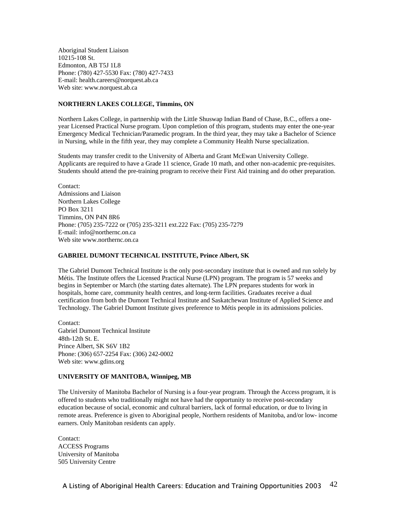Aboriginal Student Liaison 10215-108 St. Edmonton, AB T5J 1L8 Phone: (780) 427-5530 Fax: (780) 427-7433 E-mail: health.careers@norquest.ab.ca Web site: www.norquest.ab.ca

### **NORTHERN LAKES COLLEGE, Timmins, ON**

Northern Lakes College, in partnership with the Little Shuswap Indian Band of Chase, B.C., offers a oneyear Licensed Practical Nurse program. Upon completion of this program, students may enter the one-year Emergency Medical Technician/Paramedic program. In the third year, they may take a Bachelor of Science in Nursing, while in the fifth year, they may complete a Community Health Nurse specialization.

Students may transfer credit to the University of Alberta and Grant McEwan University College. Applicants are required to have a Grade 11 science, Grade 10 math, and other non-academic pre-requisites. Students should attend the pre-training program to receive their First Aid training and do other preparation.

Contact: Admissions and Liaison Northern Lakes College PO Box 3211 Timmins, ON P4N 8R6 Phone: (705) 235-7222 or (705) 235-3211 ext.222 Fax: (705) 235-7279 E-mail: info@northernc.on.ca Web site www.northernc.on.ca

### **GABRIEL DUMONT TECHNICAL INSTITUTE, Prince Albert, SK**

The Gabriel Dumont Technical Institute is the only post-secondary institute that is owned and run solely by Métis. The Institute offers the Licensed Practical Nurse (LPN) program. The program is 57 weeks and begins in September or March (the starting dates alternate). The LPN prepares students for work in hospitals, home care, community health centres, and long-term facilities. Graduates receive a dual certification from both the Dumont Technical Institute and Saskatchewan Institute of Applied Science and Technology. The Gabriel Dumont Institute gives preference to Métis people in its admissions policies.

Contact: Gabriel Dumont Technical Institute 48th-12th St. E. Prince Albert, SK S6V 1B2 Phone: (306) 657-2254 Fax: (306) 242-0002 Web site: www.gdins.org

### **UNIVERSITY OF MANITOBA, Winnipeg, MB**

The University of Manitoba Bachelor of Nursing is a four-year program. Through the Access program, it is offered to students who traditionally might not have had the opportunity to receive post-secondary education because of social, economic and cultural barriers, lack of formal education, or due to living in remote areas. Preference is given to Aboriginal people, Northern residents of Manitoba, and/or low- income earners. Only Manitoban residents can apply.

Contact: ACCESS Programs University of Manitoba 505 University Centre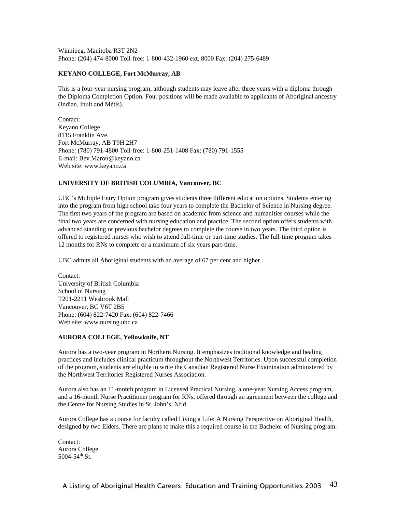Winnipeg, Manitoba R3T 2N2 Phone: (204) 474-8000 Toll-free: 1-800-432-1960 ext. 8000 Fax: (204) 275-6489

### **KEYANO COLLEGE, Fort McMurray, AB**

This is a four-year nursing program, although students may leave after three years with a diploma through the Diploma Completion Option. Four positions will be made available to applicants of Aboriginal ancestry (Indian, Inuit and Métis).

Contact: Keyano College 8115 Franklin Ave. Fort McMurray, AB T9H 2H7 Phone: (780) 791-4800 Toll-free: 1-800-251-1408 Fax: (780) 791-1555 E-mail: Bev.Maron@keyano.ca Web site: www.keyano.ca

### **UNIVERSITY OF BRITISH COLUMBIA, Vancouver, BC**

UBC's Multiple Entry Option program gives students three different education options. Students entering into the program from high school take four years to complete the Bachelor of Science in Nursing degree. The first two years of the program are based on academic from science and humanities courses while the final two years are concerned with nursing education and practice. The second option offers students with advanced standing or previous bachelor degrees to complete the course in two years. The third option is offered to registered nurses who wish to attend full-time or part-time studies. The full-time program takes 12 months for RNs to complete or a maximum of six years part-time.

UBC admits all Aboriginal students with an average of 67 per cent and higher.

Contact: University of British Columbia School of Nursing T201-2211 Wesbrook Mall Vancouver, BC V6T 2B5 Phone: (604) 822-7420 Fax: (604) 822-7466 Web site: www.nursing.ubc.ca

### **AURORA COLLEGE, Yellowknife, NT**

Aurora has a two-year program in Northern Nursing. It emphasizes traditional knowledge and healing practices and includes clinical practicum throughout the Northwest Territories. Upon successful completion of the program, students are eligible to write the Canadian Registered Nurse Examination administered by the Northwest Territories Registered Nurses Association.

Aurora also has an 11-month program in Licensed Practical Nursing, a one-year Nursing Access program, and a 16-month Nurse Practitioner program for RNs, offered through an agreement between the college and the Centre for Nursing Studies in St. John's, Nfld.

Aurora College has a course for faculty called Living a Life: A Nursing Perspective on Aboriginal Health, designed by two Elders. There are plans to make this a required course in the Bachelor of Nursing program.

Contact: Aurora College  $5004 - 54$ <sup>th</sup> St.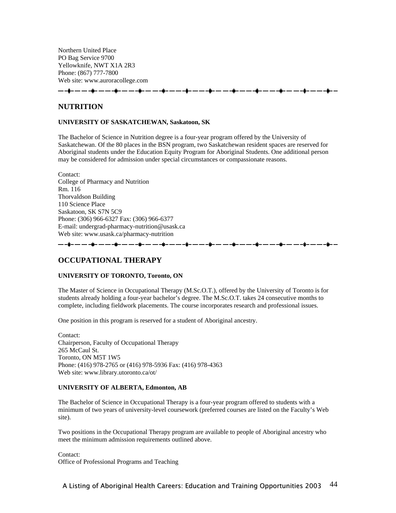Northern United Place PO Bag Service 9700 Yellowknife, NWT X1A 2R3 Phone: (867) 777-7800 Web site: www.auroracollege.com

**NUTRITION** 

### **UNIVERSITY OF SASKATCHEWAN, Saskatoon, SK**

The Bachelor of Science in Nutrition degree is a four-year program offered by the University of Saskatchewan. Of the 80 places in the BSN program, two Saskatchewan resident spaces are reserved for Aboriginal students under the Education Equity Program for Aboriginal Students. One additional person may be considered for admission under special circumstances or compassionate reasons.

Contact: College of Pharmacy and Nutrition Rm. 116 Thorvaldson Building 110 Science Place Saskatoon, SK S7N 5C9 Phone: (306) 966-6327 Fax: (306) 966-6377 E-mail: undergrad-pharmacy-nutrition@usask.ca Web site: www.usask.ca/pharmacy-nutrition

### **OCCUPATIONAL THERAPY**

### **UNIVERSITY OF TORONTO, Toronto, ON**

The Master of Science in Occupational Therapy (M.Sc.O.T.), offered by the University of Toronto is for students already holding a four-year bachelor's degree. The M.Sc.O.T. takes 24 consecutive months to complete, including fieldwork placements. The course incorporates research and professional issues.

One position in this program is reserved for a student of Aboriginal ancestry.

Contact: Chairperson, Faculty of Occupational Therapy 265 McCaul St. Toronto, ON M5T 1W5 Phone: (416) 978-2765 or (416) 978-5936 Fax: (416) 978-4363 Web site: www.library.utoronto.ca/ot/

#### **UNIVERSITY OF ALBERTA, Edmonton, AB**

The Bachelor of Science in Occupational Therapy is a four-year program offered to students with a minimum of two years of university-level coursework (preferred courses are listed on the Faculty's Web site).

Two positions in the Occupational Therapy program are available to people of Aboriginal ancestry who meet the minimum admission requirements outlined above.

Contact: Office of Professional Programs and Teaching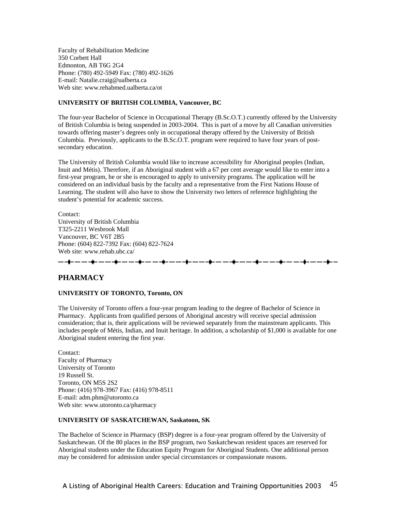Faculty of Rehabilitation Medicine 350 Corbett Hall Edmonton, AB T6G 2G4 Phone: (780) 492-5949 Fax: (780) 492-1626 E-mail: Natalie.craig@ualberta.ca Web site: www.rehabmed.ualberta.ca/ot

### **UNIVERSITY OF BRITISH COLUMBIA, Vancouver, BC**

The four-year Bachelor of Science in Occupational Therapy (B.Sc.O.T.) currently offered by the University of British Columbia is being suspended in 2003-2004. This is part of a move by all Canadian universities towards offering master's degrees only in occupational therapy offered by the University of British Columbia. Previously, applicants to the B.Sc.O.T. program were required to have four years of postsecondary education.

The University of British Columbia would like to increase accessibility for Aboriginal peoples (Indian, Inuit and Métis). Therefore, if an Aboriginal student with a 67 per cent average would like to enter into a first-year program, he or she is encouraged to apply to university programs. The application will be considered on an individual basis by the faculty and a representative from the First Nations House of Learning. The student will also have to show the University two letters of reference highlighting the student's potential for academic success.

Contact: University of British Columbia T325-2211 Wesbrook Mall Vancouver, BC V6T 2B5 Phone: (604) 822-7392 Fax: (604) 822-7624 Web site: www.rehab.ubc.ca/ المسارسين ويشمر مسارسين ويشرب مسارسين والمنازل

### **PHARMACY**

### **UNIVERSITY OF TORONTO, Toronto, ON**

The University of Toronto offers a four-year program leading to the degree of Bachelor of Science in Pharmacy. Applicants from qualified persons of Aboriginal ancestry will receive special admission consideration; that is, their applications will be reviewed separately from the mainstream applicants. This includes people of Métis, Indian, and Inuit heritage. In addition, a scholarship of \$1,000 is available for one Aboriginal student entering the first year.

Contact: Faculty of Pharmacy University of Toronto 19 Russell St. Toronto, ON M5S 2S2 Phone: (416) 978-3967 Fax: (416) 978-8511 E-mail: adm.phm@utoronto.ca Web site: www.utoronto.ca/pharmacy

### **UNIVERSITY OF SASKATCHEWAN, Saskatoon, SK**

The Bachelor of Science in Pharmacy (BSP) degree is a four-year program offered by the University of Saskatchewan. Of the 80 places in the BSP program, two Saskatchewan resident spaces are reserved for Aboriginal students under the Education Equity Program for Aboriginal Students. One additional person may be considered for admission under special circumstances or compassionate reasons.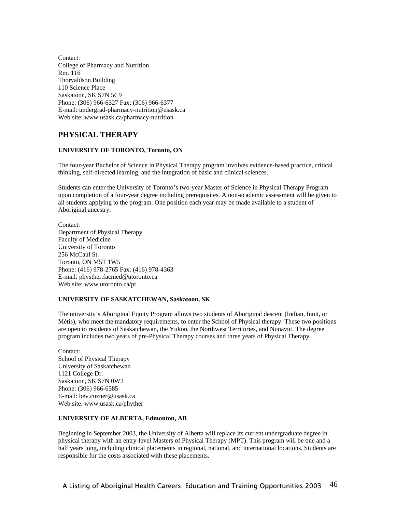Contact: College of Pharmacy and Nutrition Rm. 116 Thorvaldson Building 110 Science Place Saskatoon, SK S7N 5C9 Phone: (306) 966-6327 Fax: (306) 966-6377 E-mail: undergrad-pharmacy-nutrition@usask.ca Web site: www.usask.ca/pharmacy-nutrition

# **PHYSICAL THERAPY**

### **UNIVERSITY OF TORONTO, Toronto, ON**

The four-year Bachelor of Science in Physical Therapy program involves evidence-based practice, critical thinking, self-directed learning, and the integration of basic and clinical sciences.

Students can enter the University of Toronto's two-year Master of Science in Physical Therapy Program upon completion of a four-year degree including prerequisites. A non-academic assessment will be given to all students applying to the program. One position each year may be made available to a student of Aboriginal ancestry.

Contact: Department of Physical Therapy Faculty of Medicine University of Toronto 256 McCaul St. Toronto, ON M5T 1W5 Phone: (416) 978-2765 Fax: (416) 978-4363 E-mail: physther.facmed@utoronto.ca Web site: www.utoronto.ca/pt

### **UNIVERSITY OF SASKATCHEWAN, Saskatoon, SK**

The university's Aboriginal Equity Program allows two students of Aboriginal descent (Indian, Inuit, or Métis), who meet the mandatory requirements, to enter the School of Physical therapy. These two positions are open to residents of Saskatchewan, the Yukon, the Northwest Territories, and Nunavut. The degree program includes two years of pre-Physical Therapy courses and three years of Physical Therapy.

Contact: School of Physical Therapy University of Saskatchewan 1121 College Dr. Saskatoon, SK S7N 0W3 Phone: (306) 966-6585 E-mail: bev.cuzner@usask.ca Web site: www.usask.ca/phyther

### **UNIVERSITY OF ALBERTA, Edmonton, AB**

Beginning in September 2003, the University of Alberta will replace its current undergraduate degree in physical therapy with an entry-level Masters of Physical Therapy (MPT). This program will be one and a half years long, including clinical placements in regional, national, and international locations. Students are responsible for the costs associated with these placements.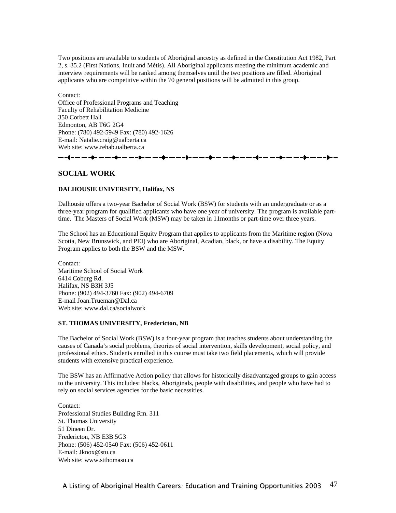Two positions are available to students of Aboriginal ancestry as defined in the Constitution Act 1982, Part 2, s. 35.2 (First Nations, Inuit and Métis). All Aboriginal applicants meeting the minimum academic and interview requirements will be ranked among themselves until the two positions are filled. Aboriginal applicants who are competitive within the 70 general positions will be admitted in this group.

Contact: Office of Professional Programs and Teaching Faculty of Rehabilitation Medicine 350 Corbett Hall Edmonton, AB T6G 2G4 Phone: (780) 492-5949 Fax: (780) 492-1626 E-mail: Natalie.craig@ualberta.ca Web site: www.rehab.ualberta.ca

### **SOCIAL WORK**

### **DALHOUSIE UNIVERSITY, Halifax, NS**

-8- -- -- -8- -- -8- -- -- -8- --

Dalhousie offers a two-year Bachelor of Social Work (BSW) for students with an undergraduate or as a three-year program for qualified applicants who have one year of university. The program is available parttime. The Masters of Social Work (MSW) may be taken in 11months or part-time over three years.

The School has an Educational Equity Program that applies to applicants from the Maritime region (Nova Scotia, New Brunswick, and PEI) who are Aboriginal, Acadian, black, or have a disability. The Equity Program applies to both the BSW and the MSW.

Contact: Maritime School of Social Work 6414 Coburg Rd. Halifax, NS B3H 3J5 Phone: (902) 494-3760 Fax: (902) 494-6709 E-mail Joan.Trueman@Dal.ca Web site: www.dal.ca/socialwork

### **ST. THOMAS UNIVERSITY, Fredericton, NB**

The Bachelor of Social Work (BSW) is a four-year program that teaches students about understanding the causes of Canada's social problems, theories of social intervention, skills development, social policy, and professional ethics. Students enrolled in this course must take two field placements, which will provide students with extensive practical experience.

The BSW has an Affirmative Action policy that allows for historically disadvantaged groups to gain access to the university. This includes: blacks, Aboriginals, people with disabilities, and people who have had to rely on social services agencies for the basic necessities.

Contact: Professional Studies Building Rm. 311 St. Thomas University 51 Dineen Dr. Fredericton, NB E3B 5G3 Phone: (506) 452-0540 Fax: (506) 452-0611 E-mail: Jknox@stu.ca Web site: www.stthomasu.ca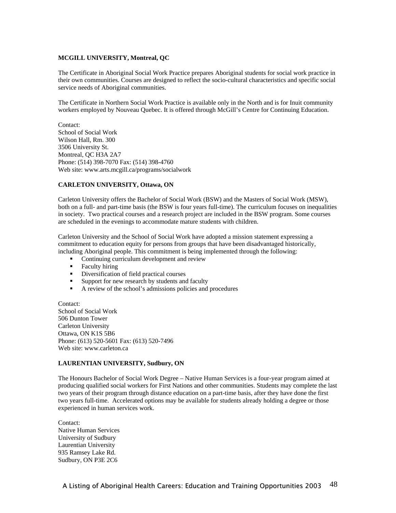### **MCGILL UNIVERSITY, Montreal, QC**

The Certificate in Aboriginal Social Work Practice prepares Aboriginal students for social work practice in their own communities. Courses are designed to reflect the socio-cultural characteristics and specific social service needs of Aboriginal communities.

The Certificate in Northern Social Work Practice is available only in the North and is for Inuit community workers employed by Nouveau Quebec. It is offered through McGill's Centre for Continuing Education.

Contact: School of Social Work Wilson Hall, Rm. 300 3506 University St. Montreal, QC H3A 2A7 Phone: (514) 398-7070 Fax: (514) 398-4760 Web site: www.arts.mcgill.ca/programs/socialwork

### **CARLETON UNIVERSITY, Ottawa, ON**

Carleton University offers the Bachelor of Social Work (BSW) and the Masters of Social Work (MSW), both on a full- and part-time basis (the BSW is four years full-time). The curriculum focuses on inequalities in society. Two practical courses and a research project are included in the BSW program. Some courses are scheduled in the evenings to accommodate mature students with children.

Carleton University and the School of Social Work have adopted a mission statement expressing a commitment to education equity for persons from groups that have been disadvantaged historically, including Aboriginal people. This commitment is being implemented through the following:

- Continuing curriculum development and review<br>• Faculty hiring
- Faculty hiring
- **•** Diversification of field practical courses
- **Support for new research by students and faculty**
- A review of the school's admissions policies and procedures

Contact: School of Social Work 506 Dunton Tower Carleton University Ottawa, ON K1S 5B6 Phone: (613) 520-5601 Fax: (613) 520-7496 Web site: www.carleton.ca

### **LAURENTIAN UNIVERSITY, Sudbury, ON**

The Honours Bachelor of Social Work Degree – Native Human Services is a four-year program aimed at producing qualified social workers for First Nations and other communities. Students may complete the last two years of their program through distance education on a part-time basis, after they have done the first two years full-time. Accelerated options may be available for students already holding a degree or those experienced in human services work.

Contact: Native Human Services University of Sudbury Laurentian University 935 Ramsey Lake Rd. Sudbury, ON P3E 2C6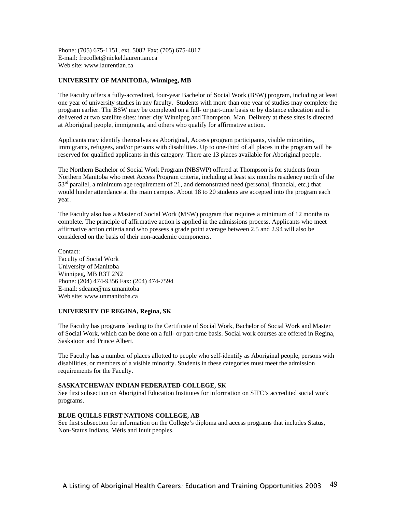Phone: (705) 675-1151, ext. 5082 Fax: (705) 675-4817 E-mail: frecollet@nickel.laurentian.ca Web site: www.laurentian.ca

### **UNIVERSITY OF MANITOBA, Winnipeg, MB**

The Faculty offers a fully-accredited, four-year Bachelor of Social Work (BSW) program, including at least one year of university studies in any faculty. Students with more than one year of studies may complete the program earlier. The BSW may be completed on a full- or part-time basis or by distance education and is delivered at two satellite sites: inner city Winnipeg and Thompson, Man. Delivery at these sites is directed at Aboriginal people, immigrants, and others who qualify for affirmative action.

Applicants may identify themselves as Aboriginal, Access program participants, visible minorities, immigrants, refugees, and/or persons with disabilities. Up to one-third of all places in the program will be reserved for qualified applicants in this category. There are 13 places available for Aboriginal people.

The Northern Bachelor of Social Work Program (NBSWP) offered at Thompson is for students from Northern Manitoba who meet Access Program criteria, including at least six months residency north of the  $53<sup>rd</sup>$  parallel, a minimum age requirement of 21, and demonstrated need (personal, financial, etc.) that would hinder attendance at the main campus. About 18 to 20 students are accepted into the program each year.

The Faculty also has a Master of Social Work (MSW) program that requires a minimum of 12 months to complete. The principle of affirmative action is applied in the admissions process. Applicants who meet affirmative action criteria and who possess a grade point average between 2.5 and 2.94 will also be considered on the basis of their non-academic components.

Contact: Faculty of Social Work University of Manitoba Winnipeg, MB R3T 2N2 Phone: (204) 474-9356 Fax: (204) 474-7594 E-mail: sdeane@ms.umanitoba Web site: www.unmanitoba.ca

### **UNIVERSITY OF REGINA, Regina, SK**

The Faculty has programs leading to the Certificate of Social Work, Bachelor of Social Work and Master of Social Work, which can be done on a full- or part-time basis. Social work courses are offered in Regina, Saskatoon and Prince Albert.

The Faculty has a number of places allotted to people who self-identify as Aboriginal people, persons with disabilities, or members of a visible minority. Students in these categories must meet the admission requirements for the Faculty.

### **SASKATCHEWAN INDIAN FEDERATED COLLEGE, SK**

See first subsection on Aboriginal Education Institutes for information on SIFC's accredited social work programs.

### **BLUE QUILLS FIRST NATIONS COLLEGE, AB**

See first subsection for information on the College's diploma and access programs that includes Status, Non-Status Indians, Métis and Inuit peoples.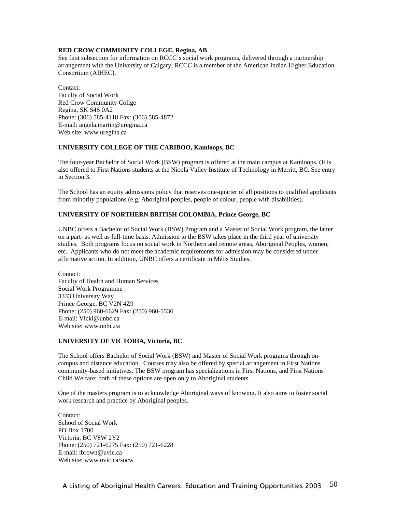### **RED CROW COMMUNITY COLLEGE, Regina, AB**

See first subsection for information on RCCC's social work programs, delivered through a partnership arrangement with the University of Calgary; RCCC is a member of the American Indian Higher Education Consortium (AIHEC).

Contact: Faculty of Social Work Red Crow Community Collge Regina, SK S4S 0A2 Phone: (306) 585-4118 Fax: (306) 585-4872 E-mail: angela.martin@uregina.ca Web site: www.uregina.ca

### **UNIVERSITY COLLEGE OF THE CARIBOO, Kamloops, BC**

The four-year Bachelor of Social Work (BSW) program is offered at the main campus at Kamloops. (It is also offered to First Nations students at the Nicola Valley Institute of Technology in Merritt, BC. See entry in Section 3.

The School has an equity admissions policy that reserves one-quarter of all positions to qualified applicants from minority populations (e.g. Aboriginal peoples, people of colour, people with disabilities).

### **UNIVERSITY OF NORTHERN BRITISH COLOMBIA, Prince George, BC**

UNBC offers a Bachelor of Social Work (BSW) Program and a Master of Social Work program, the latter on a part- as well as full-time basis. Admission to the BSW takes place in the third year of university studies. Both programs focus on social work in Northern and remote areas, Aboriginal Peoples, women, etc. Applicants who do not meet the academic requirements for admission may be considered under affirmative action. In addition, UNBC offers a certificate in Métis Studies.

Contact: Faculty of Health and Human Services Social Work Programme 3333 University Way Prince George, BC V2N 4Z9 Phone: (250) 960-6629 Fax: (250) 960-5536 E-mail: Vicki@unbc.ca Web site: www.unbc.ca

### **UNIVERSITY OF VICTORIA, Victoria, BC**

The School offers Bachelor of Social Work (BSW) and Master of Social Work programs through oncampus and distance education. Courses may also be offered by special arrangement in First Nations community-based initiatives. The BSW program has specializations in First Nations, and First Nations Child Welfare; both of these options are open only to Aboriginal students.

One of the masters program is to acknowledge Aboriginal ways of knowing. It also aims to foster social work research and practice by Aboriginal peoples.

Contact: School of Social Work PO Box 1700 Victoria, BC V8W 2Y2 Phone: (250) 721-6275 Fax: (250) 721-6228 E-mail: lbrown@uvic.ca Web site: www.uvic.ca/socw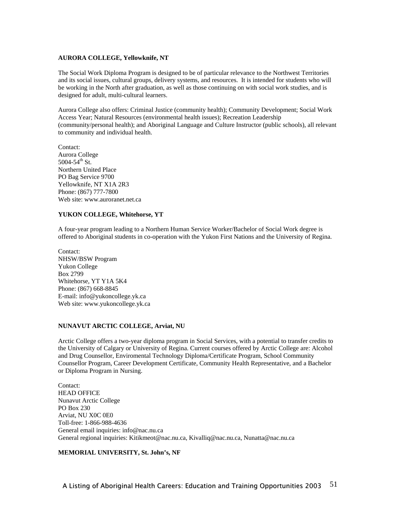### **AURORA COLLEGE, Yellowknife, NT**

The Social Work Diploma Program is designed to be of particular relevance to the Northwest Territories and its social issues, cultural groups, delivery systems, and resources. It is intended for students who will be working in the North after graduation, as well as those continuing on with social work studies, and is designed for adult, multi-cultural learners.

Aurora College also offers: Criminal Justice (community health); Community Development; Social Work Access Year; Natural Resources (environmental health issues); Recreation Leadership (community/personal health); and Aboriginal Language and Culture Instructor (public schools), all relevant to community and individual health.

Contact: Aurora College  $5004 - 54$ <sup>th</sup> St. Northern United Place PO Bag Service 9700 Yellowknife, NT X1A 2R3 Phone: (867) 777-7800 Web site: www.auroranet.net.ca

### **YUKON COLLEGE, Whitehorse, YT**

A four-year program leading to a Northern Human Service Worker/Bachelor of Social Work degree is offered to Aboriginal students in co-operation with the Yukon First Nations and the University of Regina.

Contact: NHSW/BSW Program Yukon College Box 2799 Whitehorse, YT Y1A 5K4 Phone: (867) 668-8845 E-mail: info@yukoncollege.yk.ca Web site: www.yukoncollege.yk.ca

### **NUNAVUT ARCTIC COLLEGE, Arviat, NU**

Arctic College offers a two-year diploma program in Social Services, with a potential to transfer credits to the University of Calgary or University of Regina. Current courses offered by Arctic College are: Alcohol and Drug Counsellor, Enviromental Technology Diploma/Certificate Program, School Community Counsellor Program, Career Development Certificate, Community Health Representative, and a Bachelor or Diploma Program in Nursing.

Contact: HEAD OFFICE Nunavut Arctic College PO Box 230 Arviat, NU X0C 0E0 Toll-free: 1-866-988-4636 General email inquiries: info@nac.nu.ca General regional inquiries: Kitikmeot@nac.nu.ca, Kivalliq@nac.nu.ca, Nunatta@nac.nu.ca

### **MEMORIAL UNIVERSITY, St. John's, NF**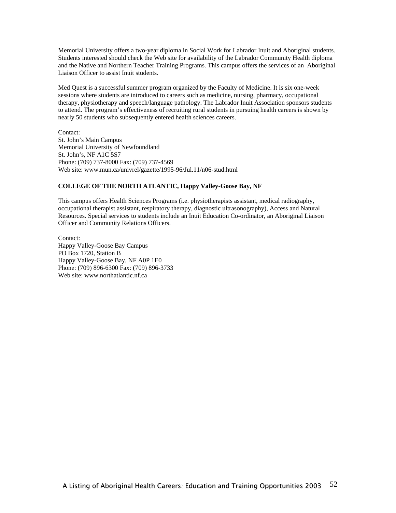Memorial University offers a two-year diploma in Social Work for Labrador Inuit and Aboriginal students. Students interested should check the Web site for availability of the Labrador Community Health diploma and the Native and Northern Teacher Training Programs. This campus offers the services of an Aboriginal Liaison Officer to assist Inuit students.

Med Quest is a successful summer program organized by the Faculty of Medicine. It is six one-week sessions where students are introduced to careers such as medicine, nursing, pharmacy, occupational therapy, physiotherapy and speech/language pathology. The Labrador Inuit Association sponsors students to attend. The program's effectiveness of recruiting rural students in pursuing health careers is shown by nearly 50 students who subsequently entered health sciences careers.

Contact: St. John's Main Campus Memorial University of Newfoundland St. John's, NF A1C 5S7 Phone: (709) 737-8000 Fax: (709) 737-4569 Web site: www.mun.ca/univrel/gazette/1995-96/Jul.11/n06-stud.html

### **COLLEGE OF THE NORTH ATLANTIC, Happy Valley-Goose Bay, NF**

This campus offers Health Sciences Programs (i.e. physiotherapists assistant, medical radiography, occupational therapist assistant, respiratory therapy, diagnostic ultrasonography), Access and Natural Resources. Special services to students include an Inuit Education Co-ordinator, an Aboriginal Liaison Officer and Community Relations Officers.

Contact: Happy Valley-Goose Bay Campus PO Box 1720, Station B Happy Valley-Goose Bay, NF A0P 1E0 Phone: (709) 896-6300 Fax: (709) 896-3733 Web site: www.northatlantic.nf.ca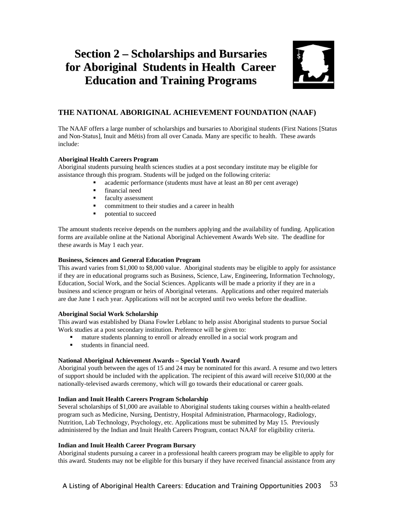# **Section 2 – Scholarships and Bursaries for Aboriginal Students in Health Career Education and Training Programs**



# **THE NATIONAL ABORIGINAL ACHIEVEMENT FOUNDATION (NAAF)**

The NAAF offers a large number of scholarships and bursaries to Aboriginal students (First Nations [Status and Non-Status], Inuit and Métis) from all over Canada. Many are specific to health. These awards include:

### **Aboriginal Health Careers Program**

Aboriginal students pursuing health sciences studies at a post secondary institute may be eligible for assistance through this program. Students will be judged on the following criteria:

- academic performance (students must have at least an 80 per cent average)
- **Financial need**
- **faculty assessment**
- commitment to their studies and a career in health
- potential to succeed

The amount students receive depends on the numbers applying and the availability of funding. Application forms are available online at the National Aboriginal Achievement Awards Web site. The deadline for these awards is May 1 each year.

### **Business, Sciences and General Education Program**

This award varies from \$1,000 to \$8,000 value. Aboriginal students may be eligible to apply for assistance if they are in educational programs such as Business, Science, Law, Engineering, Information Technology, Education, Social Work, and the Social Sciences. Applicants will be made a priority if they are in a business and science program or heirs of Aboriginal veterans. Applications and other required materials are due June 1 each year. Applications will not be accepted until two weeks before the deadline.

### **Aboriginal Social Work Scholarship**

This award was established by Diana Fowler Leblanc to help assist Aboriginal students to pursue Social Work studies at a post secondary institution. Preference will be given to:

- mature students planning to enroll or already enrolled in a social work program and
- students in financial need.

### **National Aboriginal Achievement Awards – Special Youth Award**

Aboriginal youth between the ages of 15 and 24 may be nominated for this award. A resume and two letters of support should be included with the application. The recipient of this award will receive \$10,000 at the nationally-televised awards ceremony, which will go towards their educational or career goals.

### **Indian and Inuit Health Careers Program Scholarship**

Several scholarships of \$1,000 are available to Aboriginal students taking courses within a health-related program such as Medicine, Nursing, Dentistry, Hospital Administration, Pharmacology, Radiology, Nutrition, Lab Technology, Psychology, etc. Applications must be submitted by May 15. Previously administered by the Indian and Inuit Health Careers Program, contact NAAF for eligibility criteria.

### **Indian and Inuit Health Career Program Bursary**

Aboriginal students pursuing a career in a professional health careers program may be eligible to apply for this award. Students may not be eligible for this bursary if they have received financial assistance from any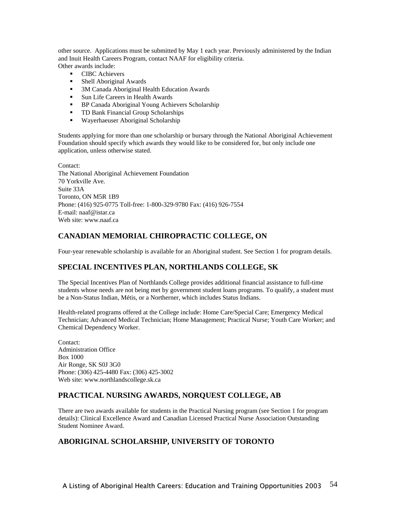other source. Applications must be submitted by May 1 each year. Previously administered by the Indian and Inuit Health Careers Program, contact NAAF for eligibility criteria. Other awards include:

- **CIBC** Achievers
- Shell Aboriginal Awards
- <sup>3</sup> 3M Canada Aboriginal Health Education Awards
- Sun Life Careers in Health Awards
- **BP Canada Aboriginal Young Achievers Scholarship**
- **TD Bank Financial Group Scholarships**
- Wayerhaeuser Aboriginal Scholarship

Students applying for more than one scholarship or bursary through the National Aboriginal Achievement Foundation should specify which awards they would like to be considered for, but only include one application, unless otherwise stated.

Contact: The National Aboriginal Achievement Foundation 70 Yorkville Ave. Suite 33A Toronto, ON M5R 1B9 Phone: (416) 925-0775 Toll-free: 1-800-329-9780 Fax: (416) 926-7554 E-mail: naaf@istar.ca Web site: www.naaf.ca

## **CANADIAN MEMORIAL CHIROPRACTIC COLLEGE, ON**

Four-year renewable scholarship is available for an Aboriginal student. See Section 1 for program details.

### **SPECIAL INCENTIVES PLAN, NORTHLANDS COLLEGE, SK**

The Special Incentives Plan of Northlands College provides additional financial assistance to full-time students whose needs are not being met by government student loans programs. To qualify, a student must be a Non-Status Indian, Métis, or a Northerner, which includes Status Indians.

Health-related programs offered at the College include: Home Care/Special Care; Emergency Medical Technician; Advanced Medical Technician; Home Management; Practical Nurse; Youth Care Worker; and Chemical Dependency Worker.

Contact: Administration Office Box 1000 Air Ronge, SK S0J 3G0 Phone: (306) 425-4480 Fax: (306) 425-3002 Web site: www.northlandscollege.sk.ca

### **PRACTICAL NURSING AWARDS, NORQUEST COLLEGE, AB**

There are two awards available for students in the Practical Nursing program (see Section 1 for program details): Clinical Excellence Award and Canadian Licensed Practical Nurse Association Outstanding Student Nominee Award.

### **ABORIGINAL SCHOLARSHIP, UNIVERSITY OF TORONTO**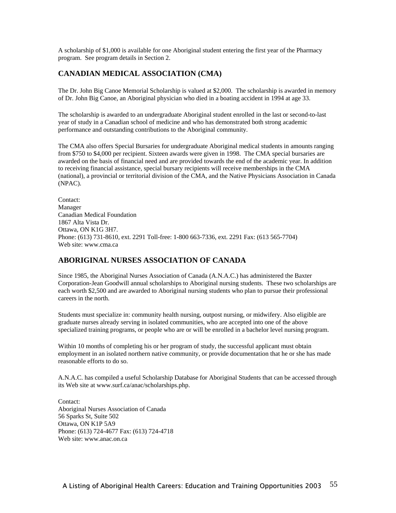A scholarship of \$1,000 is available for one Aboriginal student entering the first year of the Pharmacy program. See program details in Section 2.

# **CANADIAN MEDICAL ASSOCIATION (CMA)**

The Dr. John Big Canoe Memorial Scholarship is valued at \$2,000. The scholarship is awarded in memory of Dr. John Big Canoe, an Aboriginal physician who died in a boating accident in 1994 at age 33.

The scholarship is awarded to an undergraduate Aboriginal student enrolled in the last or second-to-last year of study in a Canadian school of medicine and who has demonstrated both strong academic performance and outstanding contributions to the Aboriginal community.

The CMA also offers Special Bursaries for undergraduate Aboriginal medical students in amounts ranging from \$750 to \$4,000 per recipient. Sixteen awards were given in 1998. The CMA special bursaries are awarded on the basis of financial need and are provided towards the end of the academic year. In addition to receiving financial assistance, special bursary recipients will receive memberships in the CMA (national), a provincial or territorial division of the CMA, and the Native Physicians Association in Canada (NPAC).

Contact: Manager Canadian Medical Foundation 1867 Alta Vista Dr. Ottawa, ON K1G 3H7. Phone: (613) 731-8610, ext. 2291 Toll-free: 1-800 663-7336, ext. 2291 Fax: (613 565-7704) Web site: www.cma.ca

## **ABORIGINAL NURSES ASSOCIATION OF CANADA**

Since 1985, the Aboriginal Nurses Association of Canada (A.N.A.C.) has administered the Baxter Corporation-Jean Goodwill annual scholarships to Aboriginal nursing students. These two scholarships are each worth \$2,500 and are awarded to Aboriginal nursing students who plan to pursue their professional careers in the north.

Students must specialize in: community health nursing, outpost nursing, or midwifery. Also eligible are graduate nurses already serving in isolated communities, who are accepted into one of the above specialized training programs, or people who are or will be enrolled in a bachelor level nursing program.

Within 10 months of completing his or her program of study, the successful applicant must obtain employment in an isolated northern native community, or provide documentation that he or she has made reasonable efforts to do so.

A.N.A.C. has compiled a useful Scholarship Database for Aboriginal Students that can be accessed through its Web site at www.surf.ca/anac/scholarships.php.

Contact: Aboriginal Nurses Association of Canada 56 Sparks St, Suite 502 Ottawa, ON K1P 5A9 Phone: (613) 724-4677 Fax: (613) 724-4718 Web site: www.anac.on.ca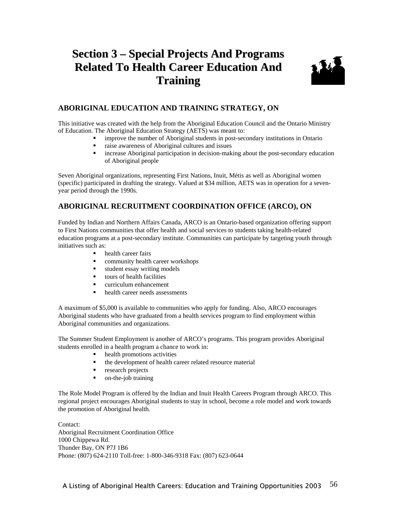# **Section 3 – Special Projects And Programs Related To Health Career Education And Training**



# **ABORIGINAL EDUCATION AND TRAINING STRATEGY, ON**

This initiative was created with the help from the Aboriginal Education Council and the Ontario Ministry of Education. The Aboriginal Education Strategy (AETS) was meant to:

- improve the number of Aboriginal students in post-secondary institutions in Ontario
- raise awareness of Aboriginal cultures and issues
- **EXECUTE:** increase Aboriginal participation in decision-making about the post-secondary education of Aboriginal people

Seven Aboriginal organizations, representing First Nations, Inuit, Métis as well as Aboriginal women (specific) participated in drafting the strategy. Valued at \$34 million, AETS was in operation for a sevenyear period through the 1990s.

# **ABORIGINAL RECRUITMENT COORDINATION OFFICE (ARCO), ON**

Funded by Indian and Northern Affairs Canada, ARCO is an Ontario-based organization offering support to First Nations communities that offer health and social services to students taking health-related education programs at a post-secondary institute. Communities can participate by targeting youth through initiatives such as:

- health career fairs
- community health career workshops
- student essay writing models
- tours of health facilities
- curriculum enhancement
- health career needs assessments

A maximum of \$5,000 is available to communities who apply for funding. Also, ARCO encourages Aboriginal students who have graduated from a health services program to find employment within Aboriginal communities and organizations.

The Summer Student Employment is another of ARCO's programs. This program provides Aboriginal students enrolled in a health program a chance to work in:

- health promotions activities
- the development of health career related resource material
- **research projects**
- on-the-job training

The Role Model Program is offered by the Indian and Inuit Health Careers Program through ARCO. This regional project encourages Aboriginal students to stay in school, become a role model and work towards the promotion of Aboriginal health.

Contact: Aboriginal Recruitment Coordination Office 1000 Chippewa Rd. Thunder Bay, ON P7J 1B6 Phone: (807) 624-2110 Toll-free: 1-800-346-9318 Fax: (807) 623-0644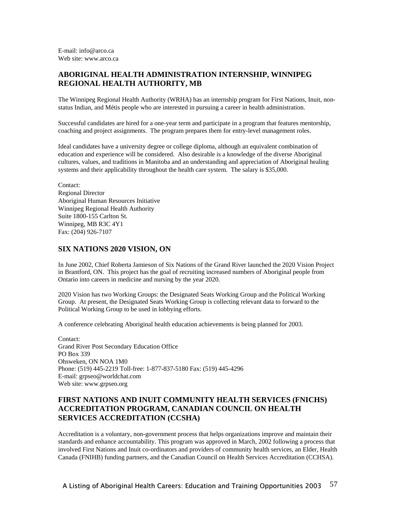E-mail: info@arco.ca Web site: www.arco.ca

### **ABORIGINAL HEALTH ADMINISTRATION INTERNSHIP, WINNIPEG REGIONAL HEALTH AUTHORITY, MB**

The Winnipeg Regional Health Authority (WRHA) has an internship program for First Nations, Inuit, nonstatus Indian, and Métis people who are interested in pursuing a career in health administration.

Successful candidates are hired for a one-year term and participate in a program that features mentorship, coaching and project assignments. The program prepares them for entry-level management roles.

Ideal candidates have a university degree or college diploma, although an equivalent combination of education and experience will be considered. Also desirable is a knowledge of the diverse Aboriginal cultures, values, and traditions in Manitoba and an understanding and appreciation of Aboriginal healing systems and their applicability throughout the health care system. The salary is \$35,000.

Contact: Regional Director Aboriginal Human Resources Initiative Winnipeg Regional Health Authority Suite 1800-155 Carlton St. Winnipeg, MB R3C 4Y1 Fax: (204) 926-7107

### **SIX NATIONS 2020 VISION, ON**

In June 2002, Chief Roberta Jamieson of Six Nations of the Grand River launched the 2020 Vision Project in Brantford, ON. This project has the goal of recruiting increased numbers of Aboriginal people from Ontario into careers in medicine and nursing by the year 2020.

2020 Vision has two Working Groups: the Designated Seats Working Group and the Political Working Group. At present, the Designated Seats Working Group is collecting relevant data to forward to the Political Working Group to be used in lobbying efforts.

A conference celebrating Aboriginal health education achievements is being planned for 2003.

Contact: Grand River Post Secondary Education Office PO Box 339 Ohsweken, ON NOA 1M0 Phone: (519) 445-2219 Toll-free: 1-877-837-5180 Fax: (519) 445-4296 E-mail: grpseo@worldchat.com Web site: www.grpseo.org

# **FIRST NATIONS AND INUIT COMMUNITY HEALTH SERVICES (FNICHS) ACCREDITATION PROGRAM, CANADIAN COUNCIL ON HEALTH SERVICES ACCREDITATION (CCSHA)**

Accreditation is a voluntary, non-government process that helps organizations improve and maintain their standards and enhance accountability. This program was approved in March, 2002 following a process that involved First Nations and Inuit co-ordinators and providers of community health services, an Elder, Health Canada (FNIHB) funding partners, and the Canadian Council on Health Services Accreditation (CCHSA).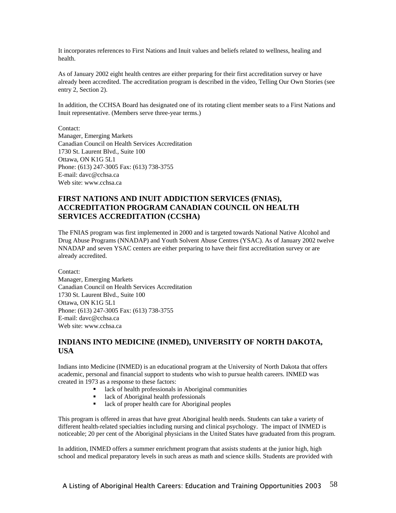It incorporates references to First Nations and Inuit values and beliefs related to wellness, healing and health.

As of January 2002 eight health centres are either preparing for their first accreditation survey or have already been accredited. The accreditation program is described in the video, Telling Our Own Stories (see entry 2, Section 2).

In addition, the CCHSA Board has designated one of its rotating client member seats to a First Nations and Inuit representative. (Members serve three-year terms.)

Contact: Manager, Emerging Markets Canadian Council on Health Services Accreditation 1730 St. Laurent Blvd., Suite 100 Ottawa, ON K1G 5L1 Phone: (613) 247-3005 Fax: (613) 738-3755 E-mail: davc@cchsa.ca Web site: www.cchsa.ca

# **FIRST NATIONS AND INUIT ADDICTION SERVICES (FNIAS), ACCREDITATION PROGRAM CANADIAN COUNCIL ON HEALTH SERVICES ACCREDITATION (CCSHA)**

The FNIAS program was first implemented in 2000 and is targeted towards National Native Alcohol and Drug Abuse Programs (NNADAP) and Youth Solvent Abuse Centres (YSAC). As of January 2002 twelve NNADAP and seven YSAC centers are either preparing to have their first accreditation survey or are already accredited.

Contact: Manager, Emerging Markets Canadian Council on Health Services Accreditation 1730 St. Laurent Blvd., Suite 100 Ottawa, ON K1G 5L1 Phone: (613) 247-3005 Fax: (613) 738-3755 E-mail: davc@cchsa.ca Web site: www.cchsa.ca

# **INDIANS INTO MEDICINE (INMED), UNIVERSITY OF NORTH DAKOTA, USA**

Indians into Medicine (INMED) is an educational program at the University of North Dakota that offers academic, personal and financial support to students who wish to pursue health careers. INMED was created in 1973 as a response to these factors:

- lack of health professionals in Aboriginal communities<br>■ lack of Aboriginal health professionals
- lack of Aboriginal health professionals
- lack of proper health care for Aboriginal peoples

This program is offered in areas that have great Aboriginal health needs. Students can take a variety of different health-related specialties including nursing and clinical psychology. The impact of INMED is noticeable; 20 per cent of the Aboriginal physicians in the United States have graduated from this program.

In addition, INMED offers a summer enrichment program that assists students at the junior high, high school and medical preparatory levels in such areas as math and science skills. Students are provided with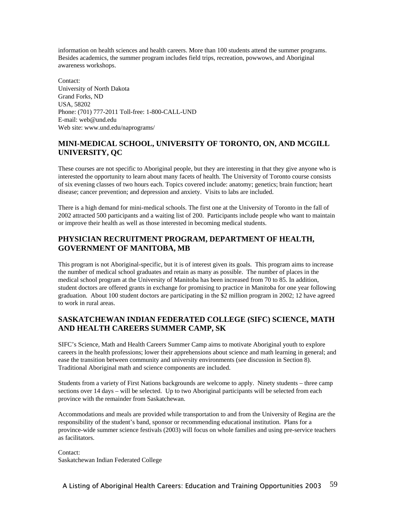information on health sciences and health careers. More than 100 students attend the summer programs. Besides academics, the summer program includes field trips, recreation, powwows, and Aboriginal awareness workshops.

Contact: University of North Dakota Grand Forks, ND USA, 58202 Phone: (701) 777-2011 Toll-free: 1-800-CALL-UND E-mail: web@und.edu Web site: www.und.edu/naprograms/

# **MINI-MEDICAL SCHOOL, UNIVERSITY OF TORONTO, ON, AND MCGILL UNIVERSITY, QC**

These courses are not specific to Aboriginal people, but they are interesting in that they give anyone who is interested the opportunity to learn about many facets of health. The University of Toronto course consists of six evening classes of two hours each. Topics covered include: anatomy; genetics; brain function; heart disease; cancer prevention; and depression and anxiety. Visits to labs are included.

There is a high demand for mini-medical schools. The first one at the University of Toronto in the fall of 2002 attracted 500 participants and a waiting list of 200. Participants include people who want to maintain or improve their health as well as those interested in becoming medical students.

# **PHYSICIAN RECRUITMENT PROGRAM, DEPARTMENT OF HEALTH, GOVERNMENT OF MANITOBA, MB**

This program is not Aboriginal-specific, but it is of interest given its goals. This program aims to increase the number of medical school graduates and retain as many as possible. The number of places in the medical school program at the University of Manitoba has been increased from 70 to 85. In addition, student doctors are offered grants in exchange for promising to practice in Manitoba for one year following graduation. About 100 student doctors are participating in the \$2 million program in 2002; 12 have agreed to work in rural areas.

# **SASKATCHEWAN INDIAN FEDERATED COLLEGE (SIFC) SCIENCE, MATH AND HEALTH CAREERS SUMMER CAMP, SK**

SIFC's Science, Math and Health Careers Summer Camp aims to motivate Aboriginal youth to explore careers in the health professions; lower their apprehensions about science and math learning in general; and ease the transition between community and university environments (see discussion in Section 8). Traditional Aboriginal math and science components are included.

Students from a variety of First Nations backgrounds are welcome to apply. Ninety students – three camp sections over 14 days – will be selected. Up to two Aboriginal participants will be selected from each province with the remainder from Saskatchewan.

Accommodations and meals are provided while transportation to and from the University of Regina are the responsibility of the student's band, sponsor or recommending educational institution. Plans for a province-wide summer science festivals (2003) will focus on whole families and using pre-service teachers as facilitators.

Contact: Saskatchewan Indian Federated College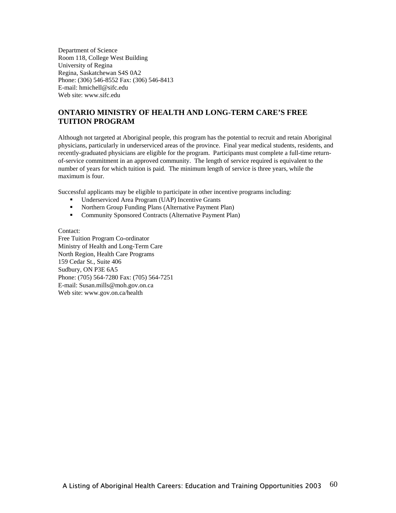Department of Science Room 118, College West Building University of Regina Regina, Saskatchewan S4S 0A2 Phone: (306) 546-8552 Fax: (306) 546-8413 E-mail: hmichell@sifc.edu Web site: www.sifc.edu

# **ONTARIO MINISTRY OF HEALTH AND LONG-TERM CARE'S FREE TUITION PROGRAM**

Although not targeted at Aboriginal people, this program has the potential to recruit and retain Aboriginal physicians, particularly in underserviced areas of the province. Final year medical students, residents, and recently-graduated physicians are eligible for the program. Participants must complete a full-time returnof-service commitment in an approved community. The length of service required is equivalent to the number of years for which tuition is paid. The minimum length of service is three years, while the maximum is four.

Successful applicants may be eligible to participate in other incentive programs including:

- Underserviced Area Program (UAP) Incentive Grants
- Northern Group Funding Plans (Alternative Payment Plan)
- Community Sponsored Contracts (Alternative Payment Plan)

Contact: Free Tuition Program Co-ordinator Ministry of Health and Long-Term Care North Region, Health Care Programs 159 Cedar St., Suite 406 Sudbury, ON P3E 6A5 Phone: (705) 564-7280 Fax: (705) 564-7251 E-mail: Susan.mills@moh.gov.on.ca Web site: www.gov.on.ca/health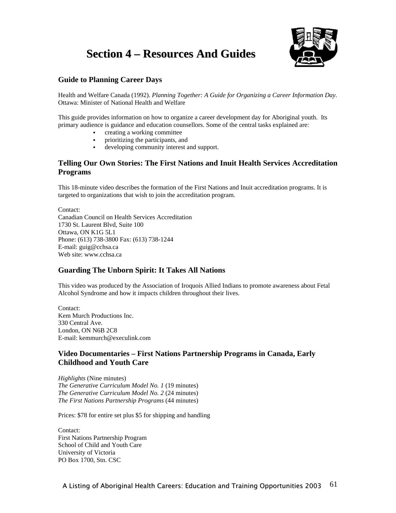# **Section 4 – Resources And Guides**



# **Guide to Planning Career Days**

Health and Welfare Canada (1992). *Planning Together: A Guide for Organizing a Career Information Day.* Ottawa: Minister of National Health and Welfare

This guide provides information on how to organize a career development day for Aboriginal youth. Its primary audience is guidance and education counsellors. Some of the central tasks explained are:

- creating a working committee
- prioritizing the participants, and
- developing community interest and support.

## **Telling Our Own Stories: The First Nations and Inuit Health Services Accreditation Programs**

This 18-minute video describes the formation of the First Nations and Inuit accreditation programs. It is targeted to organizations that wish to join the accreditation program.

Contact: Canadian Council on Health Services Accreditation 1730 St. Laurent Blvd, Suite 100 Ottawa, ON K1G 5L1 Phone: (613) 738-3800 Fax: (613) 738-1244 E-mail: guig@cchsa.ca Web site: www.cchsa.ca

# **Guarding The Unborn Spirit: It Takes All Nations**

This video was produced by the Association of Iroquois Allied Indians to promote awareness about Fetal Alcohol Syndrome and how it impacts children throughout their lives.

Contact: Kem Murch Productions Inc. 330 Central Ave. London, ON N6B 2C8 E-mail: kemmurch@execulink.com

# **Video Documentaries – First Nations Partnership Programs in Canada, Early Childhood and Youth Care**

*Highlights* (Nine minutes) *The Generative Curriculum Model No. 1* (19 minutes) *The Generative Curriculum Model No. 2* (24 minutes) *The First Nations Partnership Programs* (44 minutes)

Prices: \$78 for entire set plus \$5 for shipping and handling

Contact: First Nations Partnership Program School of Child and Youth Care University of Victoria PO Box 1700, Stn. CSC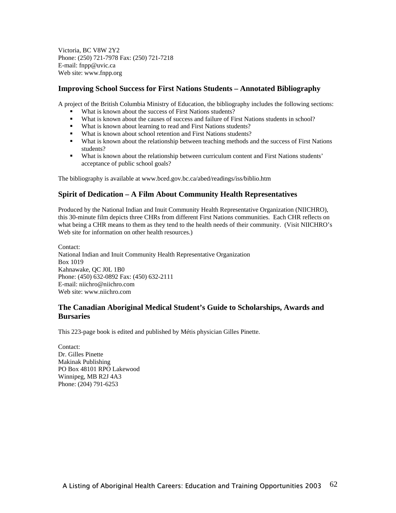Victoria, BC V8W 2Y2 Phone: (250) 721-7978 Fax: (250) 721-7218 E-mail: fnpp@uvic.ca Web site: www.fnpp.org

## **Improving School Success for First Nations Students – Annotated Bibliography**

A project of the British Columbia Ministry of Education, the bibliography includes the following sections:

- What is known about the success of First Nations students?
- What is known about the causes of success and failure of First Nations students in school?
- What is known about learning to read and First Nations students?
- What is known about school retention and First Nations students?
- What is known about the relationship between teaching methods and the success of First Nations students?
- What is known about the relationship between curriculum content and First Nations students' acceptance of public school goals?

The bibliography is available at www.bced.gov.bc.ca/abed/readings/iss/biblio.htm

### **Spirit of Dedication – A Film About Community Health Representatives**

Produced by the National Indian and Inuit Community Health Representative Organization (NIICHRO), this 30-minute film depicts three CHRs from different First Nations communities. Each CHR reflects on what being a CHR means to them as they tend to the health needs of their community. (Visit NIICHRO's Web site for information on other health resources.)

Contact: National Indian and Inuit Community Health Representative Organization Box 1019 Kahnawake, QC J0L 1B0 Phone: (450) 632-0892 Fax: (450) 632-2111 E-mail: niichro@niichro.com Web site: www.niichro.com

## **The Canadian Aboriginal Medical Student's Guide to Scholarships, Awards and Bursaries**

This 223-page book is edited and published by Métis physician Gilles Pinette.

Contact: Dr. Gilles Pinette Makinak Publishing PO Box 48101 RPO Lakewood Winnipeg, MB R2J 4A3 Phone: (204) 791-6253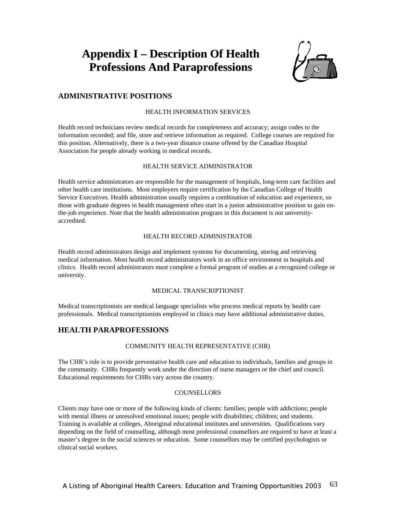# **Appendix I – Description Of Health Professions And Paraprofessions**



# **ADMINISTRATIVE POSITIONS**

### HEALTH INFORMATION SERVICES

Health record technicians review medical records for completeness and accuracy; assign codes to the information recorded; and file, store and retrieve information as required. College courses are required for this position. Alternatively, there is a two-year distance course offered by the Canadian Hospital Association for people already working in medical records.

### HEALTH SERVICE ADMINISTRATOR

Health service administrators are responsible for the management of hospitals, long-term care facilities and other health care institutions. Most employers require certification by the Canadian College of Health Service Executives. Health administration usually requires a combination of education and experience, so those with graduate degrees in health management often start in a junior administrative position to gain onthe-job experience. Note that the health administration program in this document is not universityaccredited.

### HEALTH RECORD ADMINISTRATOR

Health record administrators design and implement systems for documenting, storing and retrieving medical information. Most health record administrators work in an office environment in hospitals and clinics. Health record administrators must complete a formal program of studies at a recognized college or university.

### MEDICAL TRANSCRIPTIONIST

Medical transcriptionists are medical language specialists who process medical reports by health care professionals. Medical transcriptionists employed in clinics may have additional administrative duties.

## **HEALTH PARAPROFESSIONS**

### COMMUNITY HEALTH REPRESENTATIVE (CHR)

The CHR's role is to provide preventative health care and education to individuals, families and groups in the community. CHRs frequently work under the direction of nurse managers or the chief and council. Educational requirements for CHRs vary across the country.

### **COUNSELLORS**

Clients may have one or more of the following kinds of clients: families; people with addictions; people with mental illness or unresolved emotional issues; people with disabilities; children; and students. Training is available at colleges, Aboriginal educational institutes and universities. Qualifications vary depending on the field of counselling, although most professional counsellors are required to have at least a master's degree in the social sciences or education. Some counsellors may be certified psychologists or clinical social workers.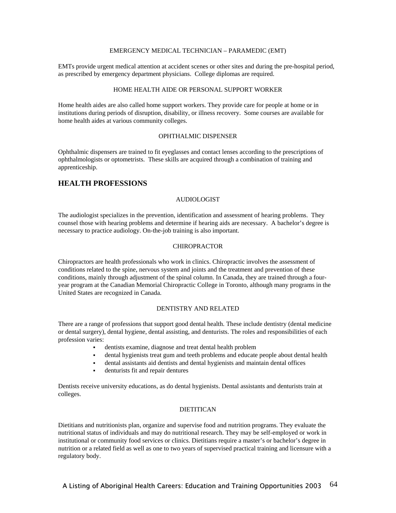### EMERGENCY MEDICAL TECHNICIAN – PARAMEDIC (EMT)

EMTs provide urgent medical attention at accident scenes or other sites and during the pre-hospital period, as prescribed by emergency department physicians. College diplomas are required.

### HOME HEALTH AIDE OR PERSONAL SUPPORT WORKER

Home health aides are also called home support workers. They provide care for people at home or in institutions during periods of disruption, disability, or illness recovery. Some courses are available for home health aides at various community colleges.

### OPHTHALMIC DISPENSER

Ophthalmic dispensers are trained to fit eyeglasses and contact lenses according to the prescriptions of ophthalmologists or optometrists. These skills are acquired through a combination of training and apprenticeship.

### **HEALTH PROFESSIONS**

### AUDIOLOGIST

The audiologist specializes in the prevention, identification and assessment of hearing problems. They counsel those with hearing problems and determine if hearing aids are necessary. A bachelor's degree is necessary to practice audiology. On-the-job training is also important.

### CHIROPRACTOR

Chiropractors are health professionals who work in clinics. Chiropractic involves the assessment of conditions related to the spine, nervous system and joints and the treatment and prevention of these conditions, mainly through adjustment of the spinal column. In Canada, they are trained through a fouryear program at the Canadian Memorial Chiropractic College in Toronto, although many programs in the United States are recognized in Canada.

### DENTISTRY AND RELATED

There are a range of professions that support good dental health. These include dentistry (dental medicine or dental surgery), dental hygiene, dental assisting, and denturists. The roles and responsibilities of each profession varies:

- dentists examine, diagnose and treat dental health problem
- dental hygienists treat gum and teeth problems and educate people about dental health
- dental assistants aid dentists and dental hygienists and maintain dental offices
- denturists fit and repair dentures

Dentists receive university educations, as do dental hygienists. Dental assistants and denturists train at colleges.

### **DIETITICAN**

Dietitians and nutritionists plan, organize and supervise food and nutrition programs. They evaluate the nutritional status of individuals and may do nutritional research. They may be self-employed or work in institutional or community food services or clinics. Dietitians require a master's or bachelor's degree in nutrition or a related field as well as one to two years of supervised practical training and licensure with a regulatory body.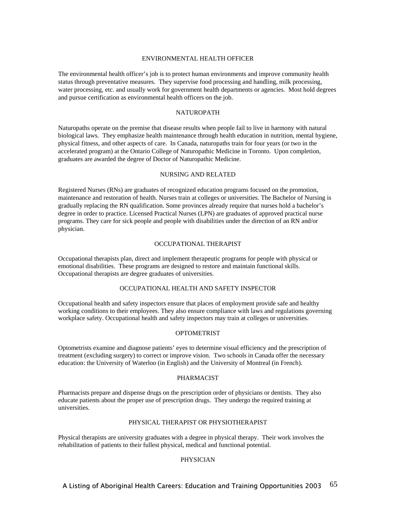### ENVIRONMENTAL HEALTH OFFICER

The environmental health officer's job is to protect human environments and improve community health status through preventative measures. They supervise food processing and handling, milk processing, water processing, etc. and usually work for government health departments or agencies. Most hold degrees and pursue certification as environmental health officers on the job.

### NATUROPATH

Naturopaths operate on the premise that disease results when people fail to live in harmony with natural biological laws. They emphasize health maintenance through health education in nutrition, mental hygiene, physical fitness, and other aspects of care. In Canada, naturopaths train for four years (or two in the accelerated program) at the Ontario College of Naturopathic Medicine in Toronto. Upon completion, graduates are awarded the degree of Doctor of Naturopathic Medicine.

### NURSING AND RELATED

Registered Nurses (RNs) are graduates of recognized education programs focused on the promotion, maintenance and restoration of health. Nurses train at colleges or universities. The Bachelor of Nursing is gradually replacing the RN qualification. Some provinces already require that nurses hold a bachelor's degree in order to practice. Licensed Practical Nurses (LPN) are graduates of approved practical nurse programs. They care for sick people and people with disabilities under the direction of an RN and/or physician.

### OCCUPATIONAL THERAPIST

Occupational therapists plan, direct and implement therapeutic programs for people with physical or emotional disabilities. These programs are designed to restore and maintain functional skills. Occupational therapists are degree graduates of universities.

### OCCUPATIONAL HEALTH AND SAFETY INSPECTOR

Occupational health and safety inspectors ensure that places of employment provide safe and healthy working conditions to their employees. They also ensure compliance with laws and regulations governing workplace safety. Occupational health and safety inspectors may train at colleges or universities.

### OPTOMETRIST

Optometrists examine and diagnose patients' eyes to determine visual efficiency and the prescription of treatment (excluding surgery) to correct or improve vision. Two schools in Canada offer the necessary education: the University of Waterloo (in English) and the University of Montreal (in French).

### PHARMACIST

Pharmacists prepare and dispense drugs on the prescription order of physicians or dentists. They also educate patients about the proper use of prescription drugs. They undergo the required training at universities.

### PHYSICAL THERAPIST OR PHYSIOTHERAPIST

Physical therapists are university graduates with a degree in physical therapy. Their work involves the rehabilitation of patients to their fullest physical, medical and functional potential.

### PHYSICIAN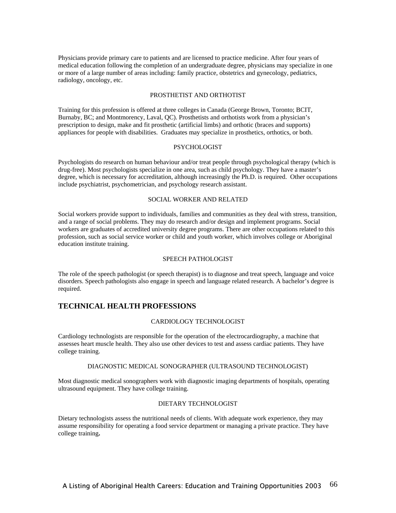Physicians provide primary care to patients and are licensed to practice medicine. After four years of medical education following the completion of an undergraduate degree, physicians may specialize in one or more of a large number of areas including: family practice, obstetrics and gynecology, pediatrics, radiology, oncology, etc.

### PROSTHETIST AND ORTHOTIST

Training for this profession is offered at three colleges in Canada (George Brown, Toronto; BCIT, Burnaby, BC; and Montmorency, Laval, QC). Prosthetists and orthotists work from a physician's prescription to design, make and fit prosthetic (artificial limbs) and orthotic (braces and supports) appliances for people with disabilities. Graduates may specialize in prosthetics, orthotics, or both.

### PSYCHOLOGIST

Psychologists do research on human behaviour and/or treat people through psychological therapy (which is drug-free). Most psychologists specialize in one area, such as child psychology. They have a master's degree, which is necessary for accreditation, although increasingly the Ph.D. is required. Other occupations include psychiatrist, psychometrician, and psychology research assistant.

### SOCIAL WORKER AND RELATED

Social workers provide support to individuals, families and communities as they deal with stress, transition, and a range of social problems. They may do research and/or design and implement programs. Social workers are graduates of accredited university degree programs. There are other occupations related to this profession, such as social service worker or child and youth worker, which involves college or Aboriginal education institute training.

#### SPEECH PATHOLOGIST

The role of the speech pathologist (or speech therapist) is to diagnose and treat speech, language and voice disorders. Speech pathologists also engage in speech and language related research. A bachelor's degree is required.

### **TECHNICAL HEALTH PROFESSIONS**

#### CARDIOLOGY TECHNOLOGIST

Cardiology technologists are responsible for the operation of the electrocardiography, a machine that assesses heart muscle health. They also use other devices to test and assess cardiac patients. They have college training.

#### DIAGNOSTIC MEDICAL SONOGRAPHER (ULTRASOUND TECHNOLOGIST)

Most diagnostic medical sonographers work with diagnostic imaging departments of hospitals, operating ultrasound equipment. They have college training.

### DIETARY TECHNOLOGIST

Dietary technologists assess the nutritional needs of clients. With adequate work experience, they may assume responsibility for operating a food service department or managing a private practice. They have college training**.**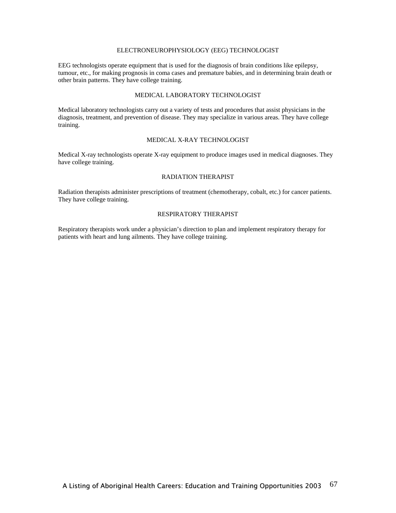### ELECTRONEUROPHYSIOLOGY (EEG) TECHNOLOGIST

EEG technologists operate equipment that is used for the diagnosis of brain conditions like epilepsy, tumour, etc., for making prognosis in coma cases and premature babies, and in determining brain death or other brain patterns. They have college training.

### MEDICAL LABORATORY TECHNOLOGIST

Medical laboratory technologists carry out a variety of tests and procedures that assist physicians in the diagnosis, treatment, and prevention of disease. They may specialize in various areas. They have college training.

### MEDICAL X-RAY TECHNOLOGIST

Medical X-ray technologists operate X-ray equipment to produce images used in medical diagnoses. They have college training.

### RADIATION THERAPIST

Radiation therapists administer prescriptions of treatment (chemotherapy, cobalt, etc.) for cancer patients. They have college training.

### RESPIRATORY THERAPIST

Respiratory therapists work under a physician's direction to plan and implement respiratory therapy for patients with heart and lung ailments. They have college training.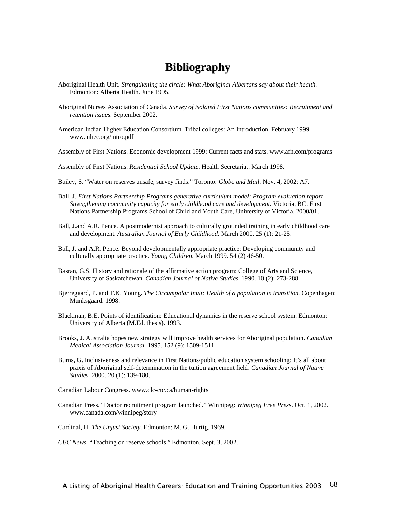# **Bibliography**

- Aboriginal Health Unit. *Strengthening the circle: What Aboriginal Albertans say about their health.* Edmonton: Alberta Health. June 1995.
- Aboriginal Nurses Association of Canada. *Survey of isolated First Nations communities: Recruitment and retention issues.* September 2002.
- American Indian Higher Education Consortium. Tribal colleges: An Introduction. February 1999. www.aihec.org/intro.pdf
- Assembly of First Nations. Economic development 1999: Current facts and stats. www.afn.com/programs
- Assembly of First Nations. *Residential School Update*. Health Secretariat. March 1998.
- Bailey, S. "Water on reserves unsafe, survey finds." Toronto: *Globe and Mail*. Nov. 4, 2002: A7.
- Ball, J. *First Nations Partnership Programs generative curriculum model: Program evaluation report Strengthening community capacity for early childhood care and development.* Victoria, BC: First Nations Partnership Programs School of Child and Youth Care, University of Victoria. 2000/01.
- Ball, J.and A.R. Pence. A postmodernist approach to culturally grounded training in early childhood care and development. *Australian Journal of Early Childhood*. March 2000. 25 (1): 21-25.
- Ball, J. and A.R. Pence. Beyond developmentally appropriate practice: Developing community and culturally appropriate practice. *Young Children.* March 1999. 54 (2) 46-50.
- Basran, G.S. History and rationale of the affirmative action program: College of Arts and Science, University of Saskatchewan. *Canadian Journal of Native Studies.* 1990. 10 (2): 273-288.
- Bjerregaard, P. and T.K. Young. *The Circumpolar Inuit: Health of a population in transition.* Copenhagen: Munksgaard. 1998.
- Blackman, B.E. Points of identification: Educational dynamics in the reserve school system. Edmonton: University of Alberta (M.Ed. thesis). 1993.
- Brooks, J. Australia hopes new strategy will improve health services for Aboriginal population. *Canadian Medical Association Journal.* 1995. 152 (9): 1509-1511.
- Burns, G. Inclusiveness and relevance in First Nations/public education system schooling: It's all about praxis of Aboriginal self-determination in the tuition agreement field. *Canadian Journal of Native Studies.* 2000. 20 (1): 139-180.
- Canadian Labour Congress. www.clc-ctc.ca/human-rights
- Canadian Press. "Doctor recruitment program launched." Winnipeg: *Winnipeg Free Press*. Oct. 1, 2002. www.canada.com/winnipeg/story

Cardinal, H. *The Unjust Society*. Edmonton: M. G. Hurtig. 1969.

*CBC News.* "Teaching on reserve schools." Edmonton. Sept. 3, 2002.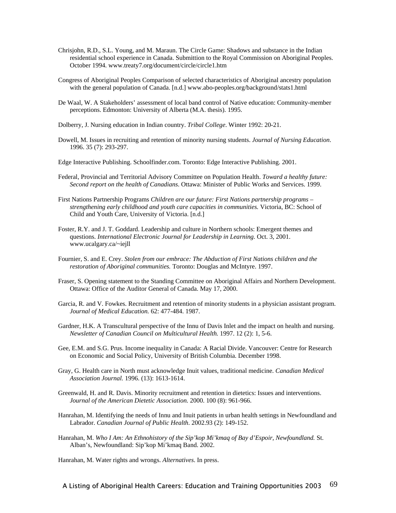- Chrisjohn, R.D., S.L. Young, and M. Maraun. The Circle Game: Shadows and substance in the Indian residential school experience in Canada. Submittion to the Royal Commission on Aboriginal Peoples. October 1994. www.treaty7.org/document/circle/circle1.htm
- Congress of Aboriginal Peoples Comparison of selected characteristics of Aboriginal ancestry population with the general population of Canada. [n.d.] www.abo-peoples.org/background/stats1.html
- De Waal, W. A Stakeholders' assessment of local band control of Native education: Community-member perceptions. Edmonton: University of Alberta (M.A. thesis). 1995.
- Dolberry, J. Nursing education in Indian country. *Tribal College*. Winter 1992: 20-21.
- Dowell, M. Issues in recruiting and retention of minority nursing students. *Journal of Nursing Education*. 1996. 35 (7): 293-297.
- Edge Interactive Publishing. Schoolfinder.com. Toronto: Edge Interactive Publishing. 2001.
- Federal, Provincial and Territorial Advisory Committee on Population Health. *Toward a healthy future: Second report on the health of Canadians*. Ottawa: Minister of Public Works and Services. 1999.
- First Nations Partnership Programs *Children are our future: First Nations partnership programs strengthening early childhood and youth care capacities in communities.* Victoria, BC: School of Child and Youth Care, University of Victoria. [n.d.]
- Foster, R.Y. and J. T. Goddard. Leadership and culture in Northern schools: Emergent themes and questions. *International Electronic Journal for Leadership in Learning.* Oct. 3, 2001. www.ucalgary.ca/~iejll
- Fournier, S. and E. Crey. *Stolen from our embrace: The Abduction of First Nations children and the restoration of Aboriginal communities.* Toronto: Douglas and McIntyre. 1997.
- Fraser, S. Opening statement to the Standing Committee on Aboriginal Affairs and Northern Development. Ottawa: Office of the Auditor General of Canada. May 17, 2000.
- Garcia, R. and V. Fowkes. Recruitment and retention of minority students in a physician assistant program. *Journal of Medical Education.* 62: 477-484. 1987.
- Gardner, H.K. A Transcultural perspective of the Innu of Davis Inlet and the impact on health and nursing. *Newsletter of Canadian Council on Multicultural Health.* 1997. 12 (2): 1, 5-6.
- Gee, E.M. and S.G. Prus. Income inequality in Canada: A Racial Divide. Vancouver: Centre for Research on Economic and Social Policy, University of British Columbia. December 1998.
- Gray, G. Health care in North must acknowledge Inuit values, traditional medicine. *Canadian Medical Association Journal.* 1996. (13): 1613-1614.
- Greenwald, H. and R. Davis. Minority recruitment and retention in dietetics: Issues and interventions. *Journal of the American Dietetic Association.* 2000. 100 (8): 961-966.
- Hanrahan, M. Identifying the needs of Innu and Inuit patients in urban health settings in Newfoundland and Labrador. *Canadian Journal of Public Health*. 2002.93 (2): 149-152.
- Hanrahan, M. *Who I Am: An Ethnohistory of the Sip'kop Mi'kmaq of Bay d'Espoir, Newfoundland.* St. Alban's, Newfoundland: Sip'kop Mi'kmaq Band. 2002.

Hanrahan, M. Water rights and wrongs. *Alternatives*. In press.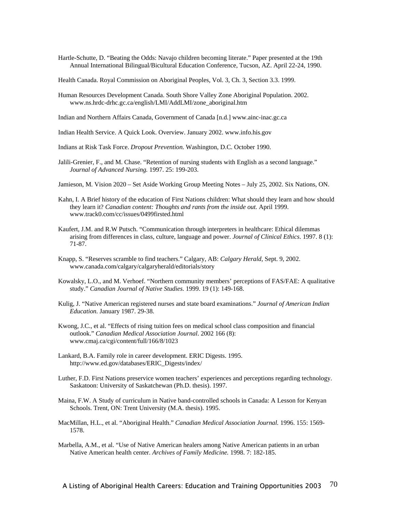- Hartle-Schutte, D. "Beating the Odds: Navajo children becoming literate." Paper presented at the 19th Annual International Bilingual/Bicultural Education Conference, Tucson, AZ. April 22-24, 1990.
- Health Canada. Royal Commission on Aboriginal Peoples, Vol. 3, Ch. 3, Section 3.3. 1999.
- Human Resources Development Canada. South Shore Valley Zone Aboriginal Population. 2002. www.ns.hrdc-drhc.gc.ca/english/LMI/AddLMI/zone\_aboriginal.htm
- Indian and Northern Affairs Canada, Government of Canada [n.d.] www.ainc-inac.gc.ca
- Indian Health Service. A Quick Look. Overview. January 2002. www.info.his.gov
- Indians at Risk Task Force. *Dropout Prevention.* Washington, D.C. October 1990.
- Jalili-Grenier, F., and M. Chase. "Retention of nursing students with English as a second language." *Journal of Advanced Nursing.* 1997. 25: 199-203.
- Jamieson, M. Vision 2020 Set Aside Working Group Meeting Notes July 25, 2002. Six Nations, ON.
- Kahn, I. A Brief history of the education of First Nations children: What should they learn and how should they learn it? *Canadian content: Thoughts and rants from the inside out.* April 1999. www.track0.com/cc/issues/0499firsted.html
- Kaufert, J.M. and R.W Putsch. "Communication through interpreters in healthcare: Ethical dilemmas arising from differences in class, culture, language and power. *Journal of Clinical Ethics*. 1997. 8 (1): 71-87.
- Knapp, S. "Reserves scramble to find teachers." Calgary, AB: *Calgary Herald*, Sept. 9, 2002. www.canada.com/calgary/calgaryherald/editorials/story
- Kowalsky, L.O., and M. Verhoef. "Northern community members' perceptions of FAS/FAE: A qualitative study." *Canadian Journal of Native Studies.* 1999. 19 (1): 149-168.
- Kulig, J. "Native American registered nurses and state board examinations." *Journal of American Indian Education.* January 1987. 29-38.
- Kwong, J.C., et al. "Effects of rising tuition fees on medical school class composition and financial outlook." *Canadian Medical Association Journal*. 2002 166 (8): www.cmaj.ca/cgi/content/full/166/8/1023
- Lankard, B.A. Family role in career development. ERIC Digests. 1995. http://www.ed.gov/databases/ERIC\_Digests/index/
- Luther, F.D. First Nations preservice women teachers' experiences and perceptions regarding technology. Saskatoon: University of Saskatchewan (Ph.D. thesis). 1997.
- Maina, F.W. A Study of curriculum in Native band-controlled schools in Canada: A Lesson for Kenyan Schools. Trent, ON: Trent University (M.A. thesis). 1995.
- MacMillan, H.L., et al. "Aboriginal Health." *Canadian Medical Association Journal.* 1996. 155: 1569- 1578.
- Marbella, A.M., et al. "Use of Native American healers among Native American patients in an urban Native American health center. *Archives of Family Medicine.* 1998. 7: 182-185.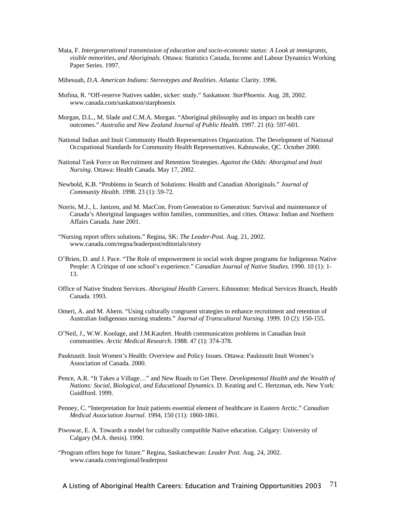- Mata, F. *Intergenerational transmission of education and socio-economic status: A Look at immigrants, visible minorities, and Aboriginals.* Ottawa: Statistics Canada, Income and Labour Dynamics Working Paper Series. 1997.
- Mihesuah, *D.A. American Indians: Stereotypes and Realities*. Atlanta: Clarity. 1996.
- Mofina, R. "Off-reserve Natives sadder, sicker: study." Saskatoon: *StarPhoenix*. Aug. 28, 2002. www.canada.com/saskatoon/starphoenix
- Morgan, D.L., M. Slade and C.M.A. Morgan. "Aboriginal philosophy and its impact on health care outcomes." *Australia and New Zealand Journal of Public Health.* 1997. 21 (6): 597-601.
- National Indian and Inuit Community Health Representatives Organization. The Development of National Occupational Standards for Community Health Representatives. Kahnawake, QC. October 2000.
- National Task Force on Recruitment and Retention Strategies. *Against the Odds: Aboriginal and Inuit Nursing*. Ottawa: Health Canada. May 17, 2002.
- Newbold, K.B. "Problems in Search of Solutions: Health and Canadian Aboriginals." *Journal of Community Health*. 1998. 23 (1): 59-72.
- Norris, M.J., L. Jantzen, and M. MacCon. From Generation to Generation: Survival and maintenance of Canada's Aboriginal languages within families, communities, and cities. Ottawa: Indian and Northern Affairs Canada. June 2001.
- "Nursing report offers solutions." Regina, SK: *The Leader-Post.* Aug. 21, 2002. www.canada.com/regna/leaderpost/editorials/story
- O'Brien, D. and J. Pace. "The Role of empowerment in social work degree programs for Indigenous Native People: A Critique of one school's experience." *Canadian Journal of Native Studies.* 1990. 10 (1): 1- 13.
- Office of Native Student Services. *Aboriginal Health Careers*. Edmonton: Medical Services Branch, Health Canada. 1993.
- Omeri, A. and M. Ahern. "Using culturally congruent strategies to enhance recruitment and retention of Australian Indigenous nursing students." *Journal of Transcultural Nursing.* 1999. 10 (2): 150-155.
- O'Neil, J., W.W. Koolage, and J.M.Kaufert. Health communication problems in Canadian Inuit communities. *Arctic Medical Research.* 1988. 47 (1): 374-378.
- Pauktuutit. Inuit Women's Health: Overview and Policy Issues. Ottawa: Pauktuutit Inuit Women's Association of Canada. 2000.
- Pence, A.R. "It Takes a Village…" and New Roads to Get There. *Developmental Health and the Wealth of Nations: Social, Biological, and Educational Dynamics.* D. Keating and C. Hertzman, eds. New York: Guidlford. 1999.
- Penney, C. "Interpretation for Inuit patients essential element of healthcare in Eastern Arctic." *Canadian Medical Association Journal.* 1994, 150 (11): 1860-1861.
- Piwowar, E. A. Towards a model for culturally compatible Native education. Calgary: University of Calgary (M.A. thesis). 1990.
- "Program offers hope for future." Regina, Saskatchewan: *Leader Post.* Aug. 24, 2002. www.canada.com/regional/leaderpost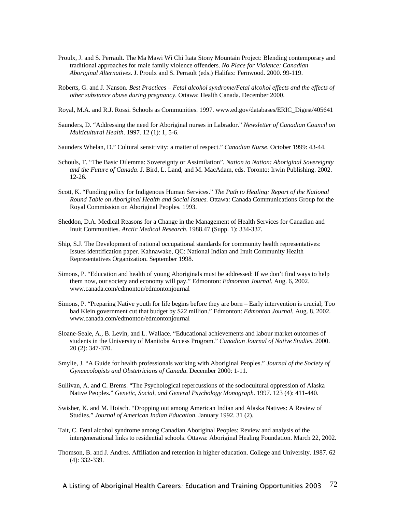- Proulx, J. and S. Perrault. The Ma Mawi Wi Chi Itata Stony Mountain Project: Blending contemporary and traditional approaches for male family violence offenders. *No Place for Violence: Canadian Aboriginal Alternatives*. J. Proulx and S. Perrault (eds.) Halifax: Fernwood. 2000. 99-119.
- Roberts, G. and J. Nanson. *Best Practices Fetal alcohol syndrome/Fetal alcohol effects and the effects of other substance abuse during pregnancy*. Ottawa: Health Canada. December 2000.
- Royal, M.A. and R.J. Rossi. Schools as Communities. 1997. www.ed.gov/databases/ERIC\_Digest/405641
- Saunders, D. "Addressing the need for Aboriginal nurses in Labrador." *Newsletter of Canadian Council on Multicultural Health*. 1997. 12 (1): 1, 5-6.
- Saunders Whelan, D." Cultural sensitivity: a matter of respect." *Canadian Nurse*. October 1999: 43-44.
- Schouls, T. "The Basic Dilemma: Sovereignty or Assimilation". *Nation to Nation: Aboriginal Sovereignty and the Future of Canada*. J. Bird, L. Land, and M. MacAdam, eds. Toronto: Irwin Publishing. 2002. 12-26.
- Scott, K. "Funding policy for Indigenous Human Services." *The Path to Healing: Report of the National Round Table on Aboriginal Health and Social Issues.* Ottawa: Canada Communications Group for the Royal Commission on Aboriginal Peoples. 1993.
- Sheddon, D.A. Medical Reasons for a Change in the Management of Health Services for Canadian and Inuit Communities. *Arctic Medical Research*. 1988.47 (Supp. 1): 334-337.
- Ship, S.J. The Development of national occupational standards for community health representatives: Issues identification paper. Kahnawake, QC: National Indian and Inuit Community Health Representatives Organization. September 1998.
- Simons, P. "Education and health of young Aboriginals must be addressed: If we don't find ways to help them now, our society and economy will pay." Edmonton: *Edmonton Journal.* Aug. 6, 2002. www.canada.com/edmonton/edmontonjournal
- Simons, P. "Preparing Native youth for life begins before they are born Early intervention is crucial; Too bad Klein government cut that budget by \$22 million." Edmonton: *Edmonton Journal.* Aug. 8, 2002. www.canada.com/edmonton/edmontonjournal
- Sloane-Seale, A., B. Levin, and L. Wallace. "Educational achievements and labour market outcomes of students in the University of Manitoba Access Program." *Canadian Journal of Native Studies*. 2000. 20 (2): 347-370.
- Smylie, J. "A Guide for health professionals working with Aboriginal Peoples." *Journal of the Society of Gynaecologists and Obstetricians of Canada*. December 2000: 1-11.
- Sullivan, A. and C. Brems. "The Psychological repercussions of the sociocultural oppression of Alaska Native Peoples." *Genetic, Social, and General Psychology Monograph.* 1997. 123 (4): 411-440.
- Swisher, K. and M. Hoisch. "Dropping out among American Indian and Alaska Natives: A Review of Studies." *Journal of American Indian Education*. January 1992. 31 (2).
- Tait, C. Fetal alcohol syndrome among Canadian Aboriginal Peoples: Review and analysis of the intergenerational links to residential schools. Ottawa: Aboriginal Healing Foundation. March 22, 2002.
- Thomson, B. and J. Andres. Affiliation and retention in higher education. College and University. 1987. 62 (4): 332-339.